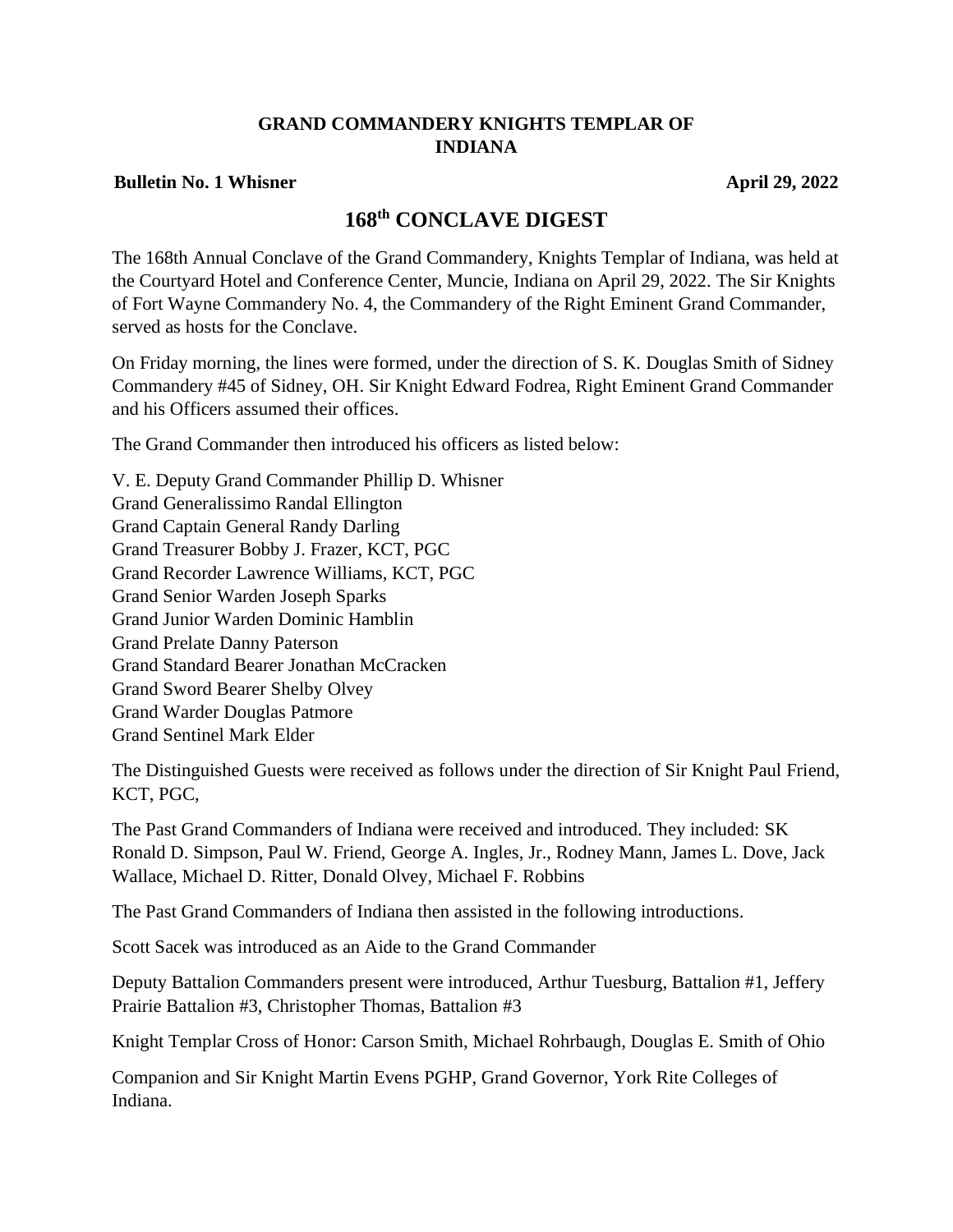## **GRAND COMMANDERY KNIGHTS TEMPLAR OF INDIANA**

#### **Bulletin No. 1 Whisner April 29, 2022**

# **168th CONCLAVE DIGEST**

The 168th Annual Conclave of the Grand Commandery, Knights Templar of Indiana, was held at the Courtyard Hotel and Conference Center, Muncie, Indiana on April 29, 2022. The Sir Knights of Fort Wayne Commandery No. 4, the Commandery of the Right Eminent Grand Commander, served as hosts for the Conclave.

On Friday morning, the lines were formed, under the direction of S. K. Douglas Smith of Sidney Commandery #45 of Sidney, OH. Sir Knight Edward Fodrea, Right Eminent Grand Commander and his Officers assumed their offices.

The Grand Commander then introduced his officers as listed below:

V. E. Deputy Grand Commander Phillip D. Whisner Grand Generalissimo Randal Ellington Grand Captain General Randy Darling Grand Treasurer Bobby J. Frazer, KCT, PGC Grand Recorder Lawrence Williams, KCT, PGC Grand Senior Warden Joseph Sparks Grand Junior Warden Dominic Hamblin Grand Prelate Danny Paterson Grand Standard Bearer Jonathan McCracken Grand Sword Bearer Shelby Olvey Grand Warder Douglas Patmore Grand Sentinel Mark Elder

The Distinguished Guests were received as follows under the direction of Sir Knight Paul Friend, KCT, PGC,

The Past Grand Commanders of Indiana were received and introduced. They included: SK Ronald D. Simpson, Paul W. Friend, George A. Ingles, Jr., Rodney Mann, James L. Dove, Jack Wallace, Michael D. Ritter, Donald Olvey, Michael F. Robbins

The Past Grand Commanders of Indiana then assisted in the following introductions.

Scott Sacek was introduced as an Aide to the Grand Commander

Deputy Battalion Commanders present were introduced, Arthur Tuesburg, Battalion #1, Jeffery Prairie Battalion #3, Christopher Thomas, Battalion #3

Knight Templar Cross of Honor: Carson Smith, Michael Rohrbaugh, Douglas E. Smith of Ohio

Companion and Sir Knight Martin Evens PGHP, Grand Governor, York Rite Colleges of Indiana.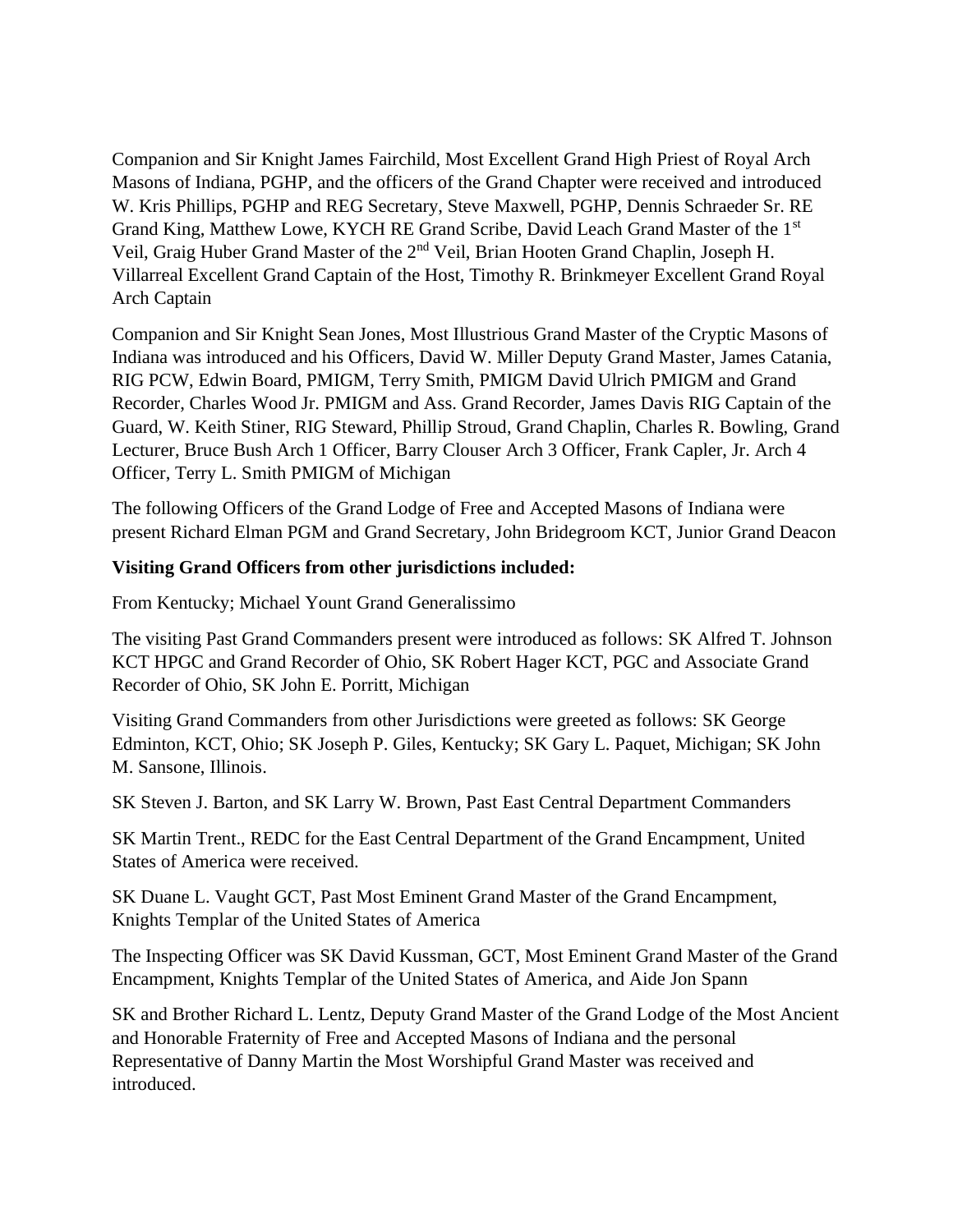Companion and Sir Knight James Fairchild, Most Excellent Grand High Priest of Royal Arch Masons of Indiana, PGHP, and the officers of the Grand Chapter were received and introduced W. Kris Phillips, PGHP and REG Secretary, Steve Maxwell, PGHP, Dennis Schraeder Sr. RE Grand King, Matthew Lowe, KYCH RE Grand Scribe, David Leach Grand Master of the 1st Veil, Graig Huber Grand Master of the 2nd Veil, Brian Hooten Grand Chaplin, Joseph H. Villarreal Excellent Grand Captain of the Host, Timothy R. Brinkmeyer Excellent Grand Royal Arch Captain

Companion and Sir Knight Sean Jones, Most Illustrious Grand Master of the Cryptic Masons of Indiana was introduced and his Officers, David W. Miller Deputy Grand Master, James Catania, RIG PCW, Edwin Board, PMIGM, Terry Smith, PMIGM David Ulrich PMIGM and Grand Recorder, Charles Wood Jr. PMIGM and Ass. Grand Recorder, James Davis RIG Captain of the Guard, W. Keith Stiner, RIG Steward, Phillip Stroud, Grand Chaplin, Charles R. Bowling, Grand Lecturer, Bruce Bush Arch 1 Officer, Barry Clouser Arch 3 Officer, Frank Capler, Jr. Arch 4 Officer, Terry L. Smith PMIGM of Michigan

The following Officers of the Grand Lodge of Free and Accepted Masons of Indiana were present Richard Elman PGM and Grand Secretary, John Bridegroom KCT, Junior Grand Deacon

## **Visiting Grand Officers from other jurisdictions included:**

From Kentucky; Michael Yount Grand Generalissimo

The visiting Past Grand Commanders present were introduced as follows: SK Alfred T. Johnson KCT HPGC and Grand Recorder of Ohio, SK Robert Hager KCT, PGC and Associate Grand Recorder of Ohio, SK John E. Porritt, Michigan

Visiting Grand Commanders from other Jurisdictions were greeted as follows: SK George Edminton, KCT, Ohio; SK Joseph P. Giles, Kentucky; SK Gary L. Paquet, Michigan; SK John M. Sansone, Illinois.

SK Steven J. Barton, and SK Larry W. Brown, Past East Central Department Commanders

SK Martin Trent., REDC for the East Central Department of the Grand Encampment, United States of America were received.

SK Duane L. Vaught GCT, Past Most Eminent Grand Master of the Grand Encampment, Knights Templar of the United States of America

The Inspecting Officer was SK David Kussman, GCT, Most Eminent Grand Master of the Grand Encampment, Knights Templar of the United States of America, and Aide Jon Spann

SK and Brother Richard L. Lentz, Deputy Grand Master of the Grand Lodge of the Most Ancient and Honorable Fraternity of Free and Accepted Masons of Indiana and the personal Representative of Danny Martin the Most Worshipful Grand Master was received and introduced.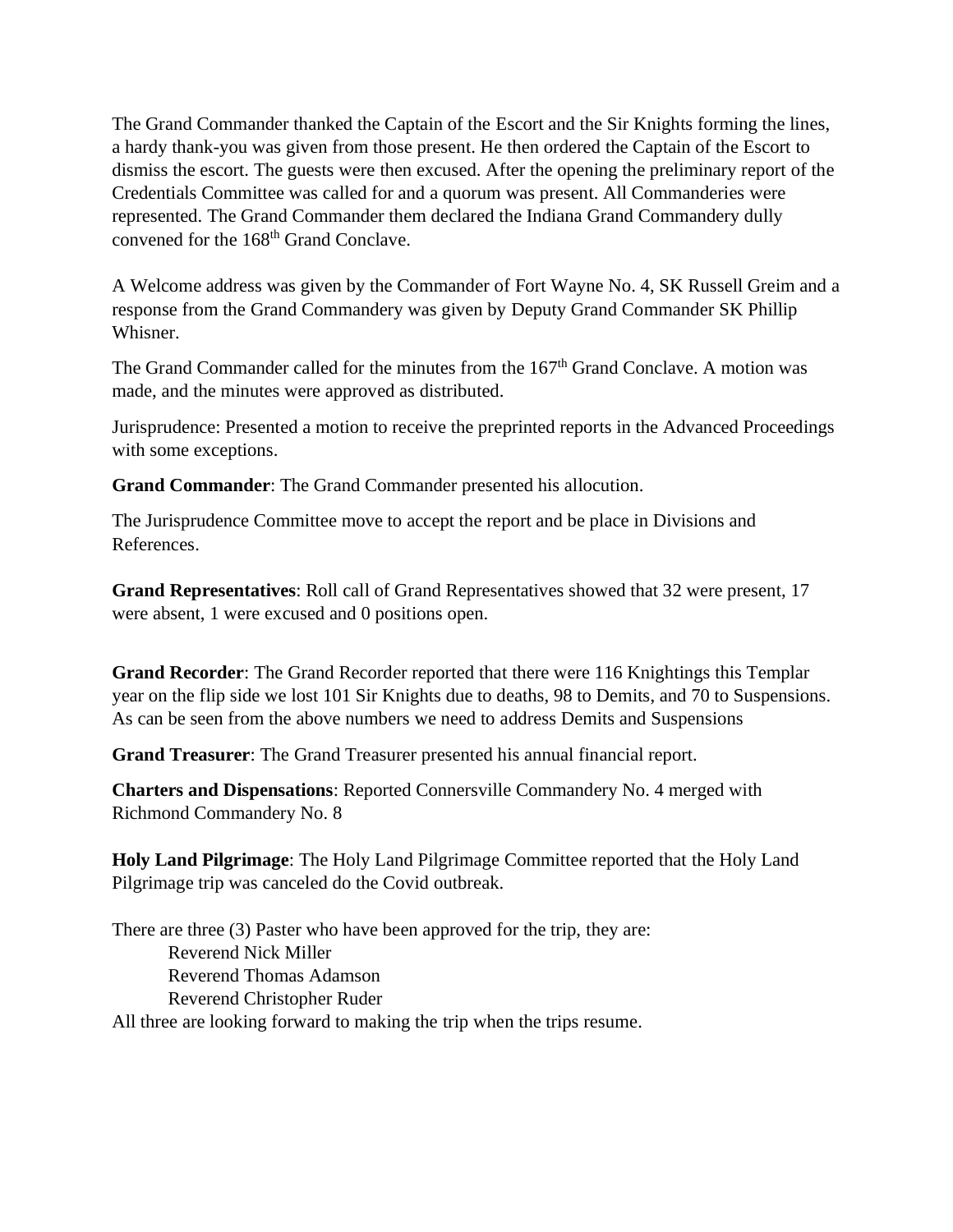The Grand Commander thanked the Captain of the Escort and the Sir Knights forming the lines, a hardy thank-you was given from those present. He then ordered the Captain of the Escort to dismiss the escort. The guests were then excused. After the opening the preliminary report of the Credentials Committee was called for and a quorum was present. All Commanderies were represented. The Grand Commander them declared the Indiana Grand Commandery dully convened for the 168<sup>th</sup> Grand Conclave.

A Welcome address was given by the Commander of Fort Wayne No. 4, SK Russell Greim and a response from the Grand Commandery was given by Deputy Grand Commander SK Phillip Whisner.

The Grand Commander called for the minutes from the 167<sup>th</sup> Grand Conclave. A motion was made, and the minutes were approved as distributed.

Jurisprudence: Presented a motion to receive the preprinted reports in the Advanced Proceedings with some exceptions.

**Grand Commander**: The Grand Commander presented his allocution.

The Jurisprudence Committee move to accept the report and be place in Divisions and References.

**Grand Representatives**: Roll call of Grand Representatives showed that 32 were present, 17 were absent, 1 were excused and 0 positions open.

**Grand Recorder**: The Grand Recorder reported that there were 116 Knightings this Templar year on the flip side we lost 101 Sir Knights due to deaths, 98 to Demits, and 70 to Suspensions. As can be seen from the above numbers we need to address Demits and Suspensions

**Grand Treasurer**: The Grand Treasurer presented his annual financial report.

**Charters and Dispensations**: Reported Connersville Commandery No. 4 merged with Richmond Commandery No. 8

**Holy Land Pilgrimage**: The Holy Land Pilgrimage Committee reported that the Holy Land Pilgrimage trip was canceled do the Covid outbreak.

There are three (3) Paster who have been approved for the trip, they are: Reverend Nick Miller Reverend Thomas Adamson Reverend Christopher Ruder All three are looking forward to making the trip when the trips resume.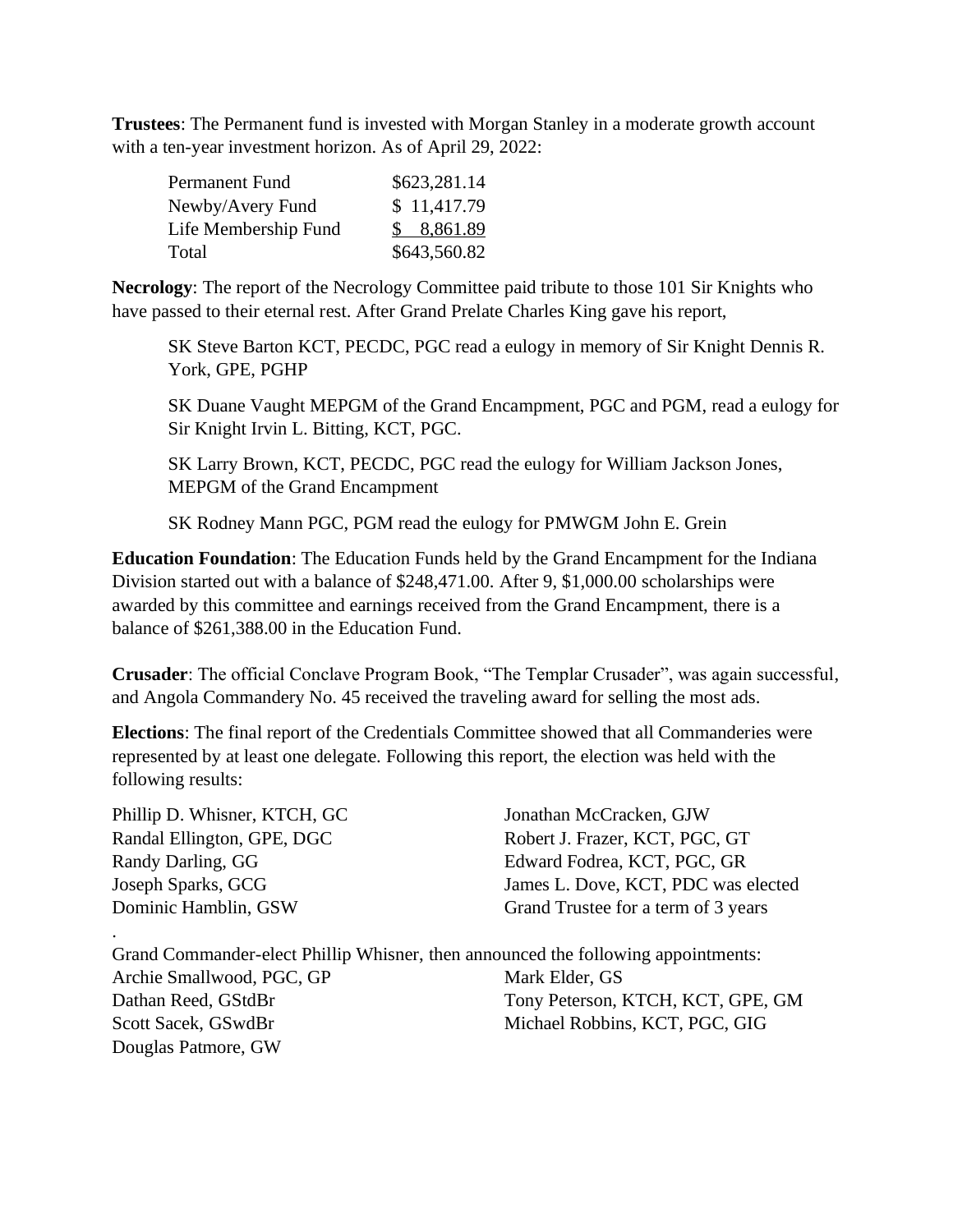**Trustees**: The Permanent fund is invested with Morgan Stanley in a moderate growth account with a ten-year investment horizon. As of April 29, 2022:

| Permanent Fund       | \$623,281.14 |
|----------------------|--------------|
| Newby/Avery Fund     | \$11,417.79  |
| Life Membership Fund | \$8,861.89   |
| Total                | \$643,560.82 |

**Necrology**: The report of the Necrology Committee paid tribute to those 101 Sir Knights who have passed to their eternal rest. After Grand Prelate Charles King gave his report,

SK Steve Barton KCT, PECDC, PGC read a eulogy in memory of Sir Knight Dennis R. York, GPE, PGHP

SK Duane Vaught MEPGM of the Grand Encampment, PGC and PGM, read a eulogy for Sir Knight Irvin L. Bitting, KCT, PGC.

SK Larry Brown, KCT, PECDC, PGC read the eulogy for William Jackson Jones, MEPGM of the Grand Encampment

SK Rodney Mann PGC, PGM read the eulogy for PMWGM John E. Grein

**Education Foundation**: The Education Funds held by the Grand Encampment for the Indiana Division started out with a balance of \$248,471.00. After 9, \$1,000.00 scholarships were awarded by this committee and earnings received from the Grand Encampment, there is a balance of \$261,388.00 in the Education Fund.

**Crusader**: The official Conclave Program Book, "The Templar Crusader", was again successful, and Angola Commandery No. 45 received the traveling award for selling the most ads.

**Elections**: The final report of the Credentials Committee showed that all Commanderies were represented by at least one delegate. Following this report, the election was held with the following results:

Phillip D. Whisner, KTCH, GC Randal Ellington, GPE, DGC Randy Darling, GG Joseph Sparks, GCG Dominic Hamblin, GSW

.

Jonathan McCracken, GJW Robert J. Frazer, KCT, PGC, GT Edward Fodrea, KCT, PGC, GR James L. Dove, KCT, PDC was elected Grand Trustee for a term of 3 years

| Grand Commander-elect Phillip Whisner, then announced the following appointments: |                                   |
|-----------------------------------------------------------------------------------|-----------------------------------|
| Archie Smallwood, PGC, GP                                                         | Mark Elder, GS                    |
| Dathan Reed, GStdBr                                                               | Tony Peterson, KTCH, KCT, GPE, GM |
| Scott Sacek, GSwdBr                                                               | Michael Robbins, KCT, PGC, GIG    |
| Douglas Patmore, GW                                                               |                                   |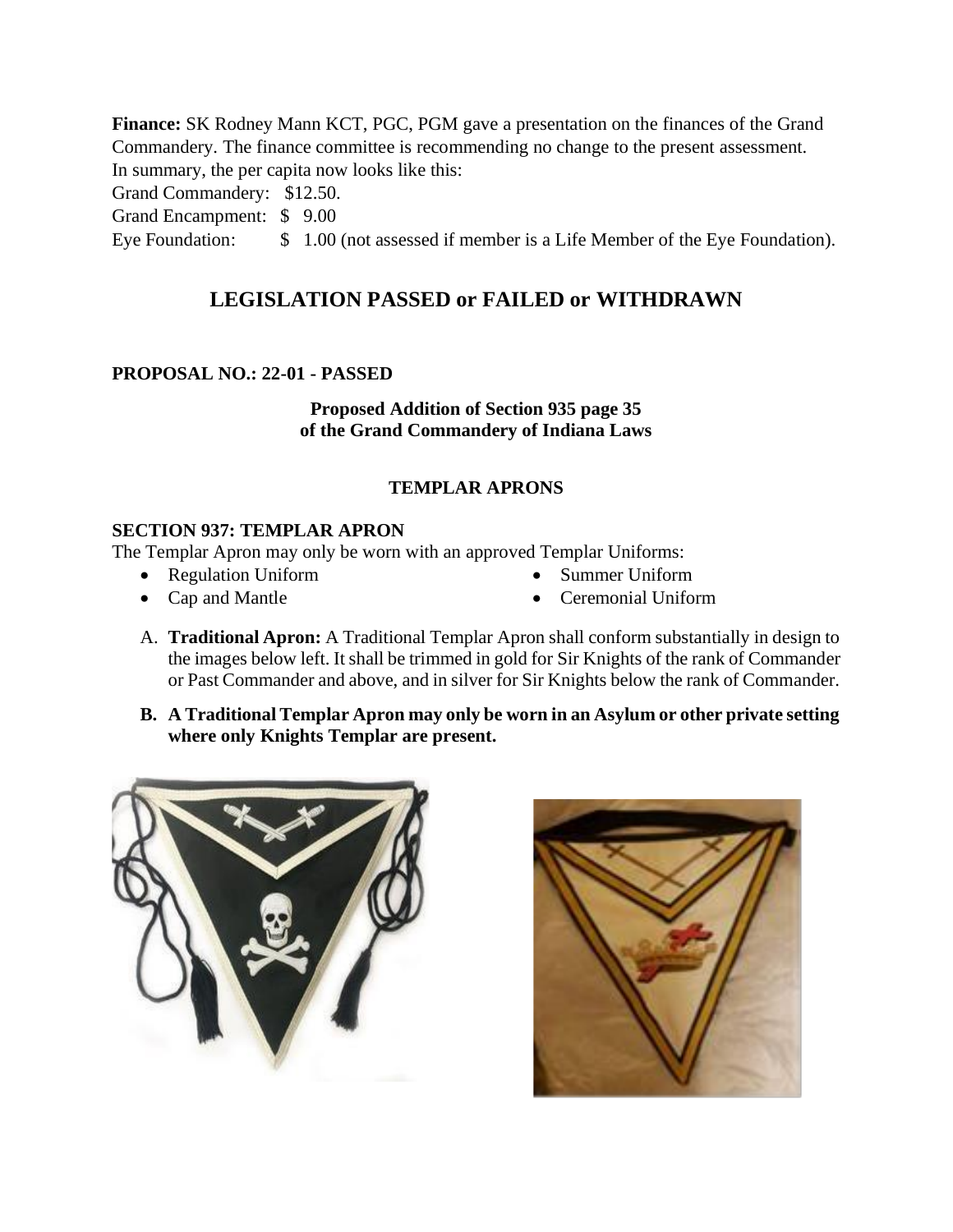**Finance:** SK Rodney Mann KCT, PGC, PGM gave a presentation on the finances of the Grand Commandery. The finance committee is recommending no change to the present assessment. In summary, the per capita now looks like this:

Grand Commandery: \$12.50.

Grand Encampment: \$ 9.00

Eye Foundation:  $\qquad$  \$ 1.00 (not assessed if member is a Life Member of the Eye Foundation).

# **LEGISLATION PASSED or FAILED or WITHDRAWN**

## **PROPOSAL NO.: 22-01 - PASSED**

**Proposed Addition of Section 935 page 35 of the Grand Commandery of Indiana Laws** 

## **TEMPLAR APRONS**

## **SECTION 937: TEMPLAR APRON**

The Templar Apron may only be worn with an approved Templar Uniforms:

- Regulation Uniform
- Cap and Mantle
- Summer Uniform
- Ceremonial Uniform
- A. **Traditional Apron:** A Traditional Templar Apron shall conform substantially in design to the images below left. It shall be trimmed in gold for Sir Knights of the rank of Commander or Past Commander and above, and in silver for Sir Knights below the rank of Commander.
- **B. A Traditional Templar Apron may only be worn in an Asylum or other private setting where only Knights Templar are present.**



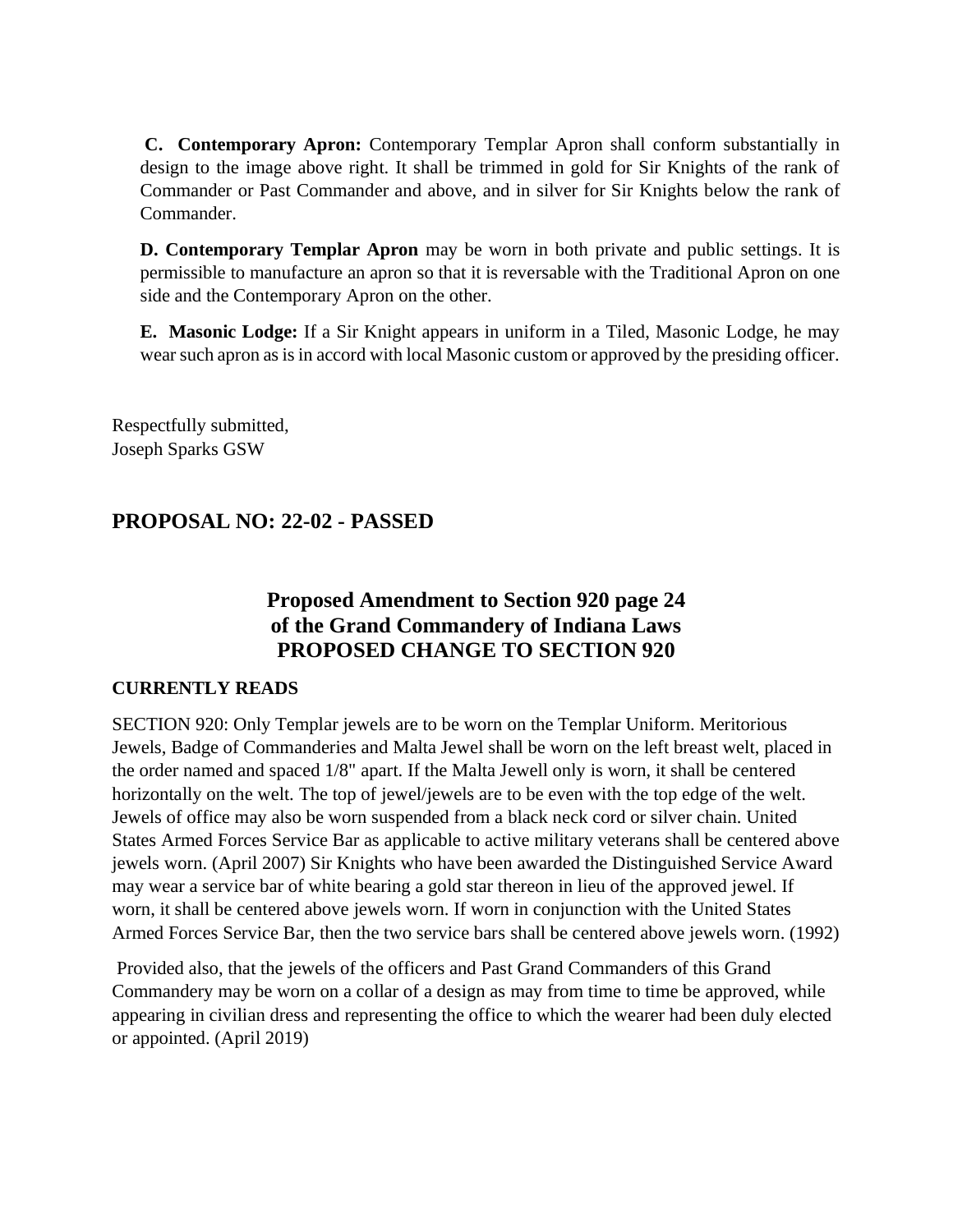**C. Contemporary Apron:** Contemporary Templar Apron shall conform substantially in design to the image above right. It shall be trimmed in gold for Sir Knights of the rank of Commander or Past Commander and above, and in silver for Sir Knights below the rank of Commander.

**D. Contemporary Templar Apron** may be worn in both private and public settings. It is permissible to manufacture an apron so that it is reversable with the Traditional Apron on one side and the Contemporary Apron on the other.

**E. Masonic Lodge:** If a Sir Knight appears in uniform in a Tiled, Masonic Lodge, he may wear such apron as is in accord with local Masonic custom or approved by the presiding officer.

Respectfully submitted, Joseph Sparks GSW

# **PROPOSAL NO: 22-02 - PASSED**

# **Proposed Amendment to Section 920 page 24 of the Grand Commandery of Indiana Laws PROPOSED CHANGE TO SECTION 920**

## **CURRENTLY READS**

SECTION 920: Only Templar jewels are to be worn on the Templar Uniform. Meritorious Jewels, Badge of Commanderies and Malta Jewel shall be worn on the left breast welt, placed in the order named and spaced 1/8" apart. If the Malta Jewell only is worn, it shall be centered horizontally on the welt. The top of jewel/jewels are to be even with the top edge of the welt. Jewels of office may also be worn suspended from a black neck cord or silver chain. United States Armed Forces Service Bar as applicable to active military veterans shall be centered above jewels worn. (April 2007) Sir Knights who have been awarded the Distinguished Service Award may wear a service bar of white bearing a gold star thereon in lieu of the approved jewel. If worn, it shall be centered above jewels worn. If worn in conjunction with the United States Armed Forces Service Bar, then the two service bars shall be centered above jewels worn. (1992)

Provided also, that the jewels of the officers and Past Grand Commanders of this Grand Commandery may be worn on a collar of a design as may from time to time be approved, while appearing in civilian dress and representing the office to which the wearer had been duly elected or appointed. (April 2019)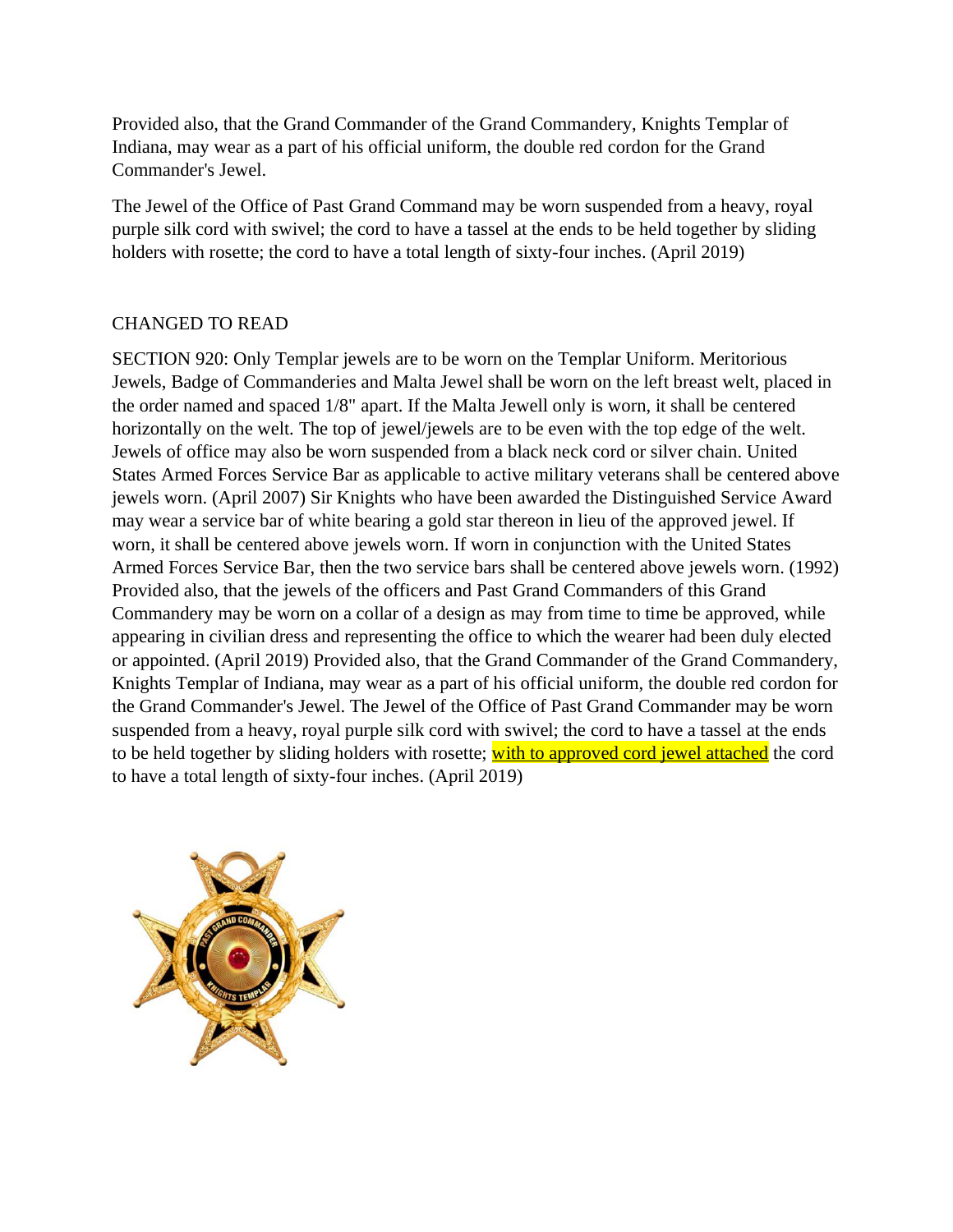Provided also, that the Grand Commander of the Grand Commandery, Knights Templar of Indiana, may wear as a part of his official uniform, the double red cordon for the Grand Commander's Jewel.

The Jewel of the Office of Past Grand Command may be worn suspended from a heavy, royal purple silk cord with swivel; the cord to have a tassel at the ends to be held together by sliding holders with rosette; the cord to have a total length of sixty-four inches. (April 2019)

## CHANGED TO READ

SECTION 920: Only Templar jewels are to be worn on the Templar Uniform. Meritorious Jewels, Badge of Commanderies and Malta Jewel shall be worn on the left breast welt, placed in the order named and spaced 1/8" apart. If the Malta Jewell only is worn, it shall be centered horizontally on the welt. The top of jewel/jewels are to be even with the top edge of the welt. Jewels of office may also be worn suspended from a black neck cord or silver chain. United States Armed Forces Service Bar as applicable to active military veterans shall be centered above jewels worn. (April 2007) Sir Knights who have been awarded the Distinguished Service Award may wear a service bar of white bearing a gold star thereon in lieu of the approved jewel. If worn, it shall be centered above jewels worn. If worn in conjunction with the United States Armed Forces Service Bar, then the two service bars shall be centered above jewels worn. (1992) Provided also, that the jewels of the officers and Past Grand Commanders of this Grand Commandery may be worn on a collar of a design as may from time to time be approved, while appearing in civilian dress and representing the office to which the wearer had been duly elected or appointed. (April 2019) Provided also, that the Grand Commander of the Grand Commandery, Knights Templar of Indiana, may wear as a part of his official uniform, the double red cordon for the Grand Commander's Jewel. The Jewel of the Office of Past Grand Commander may be worn suspended from a heavy, royal purple silk cord with swivel; the cord to have a tassel at the ends to be held together by sliding holders with rosette; with to approved cord jewel attached the cord to have a total length of sixty-four inches. (April 2019)

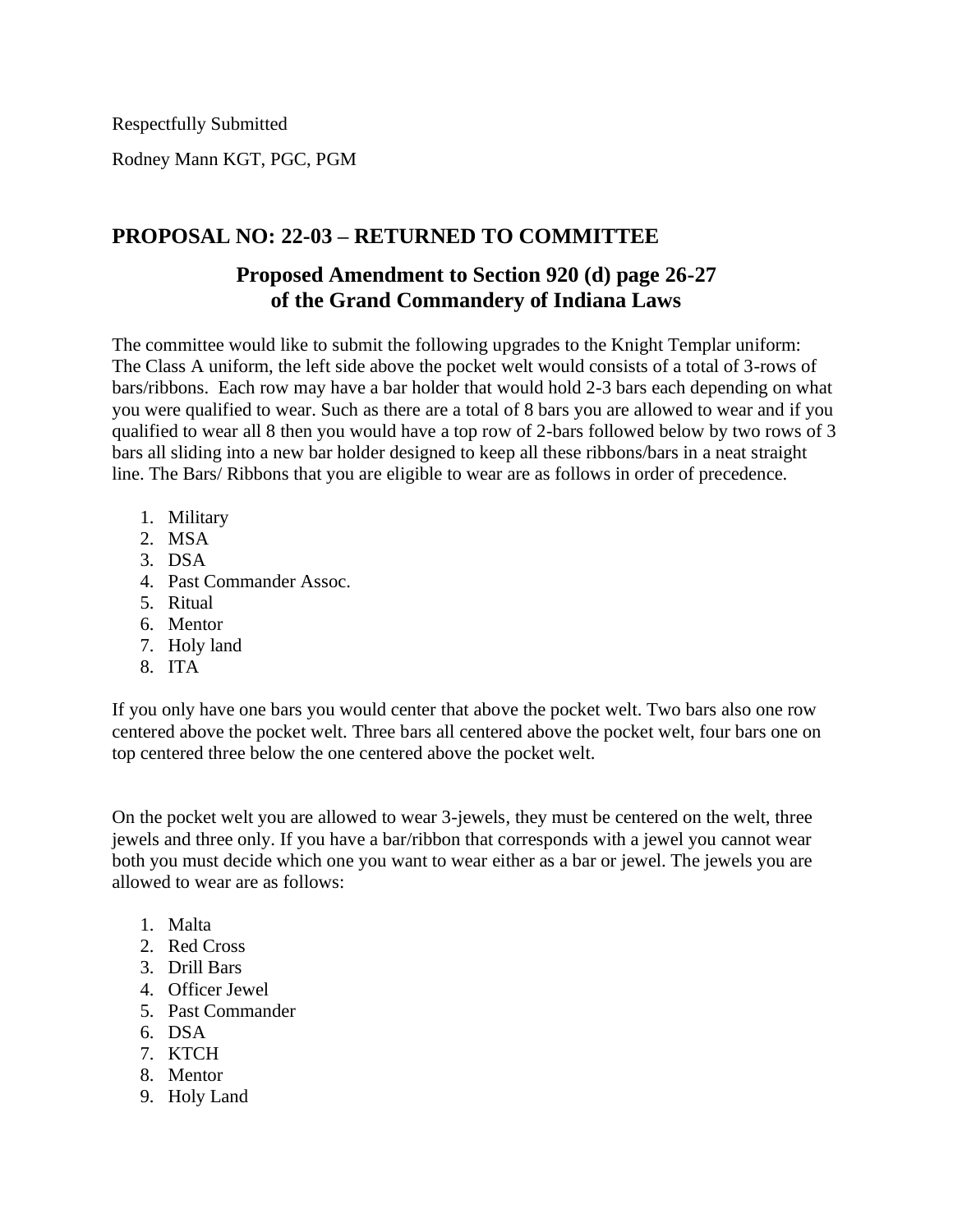Respectfully Submitted

Rodney Mann KGT, PGC, PGM

# **PROPOSAL NO: 22-03 – RETURNED TO COMMITTEE**

# **Proposed Amendment to Section 920 (d) page 26-27 of the Grand Commandery of Indiana Laws**

The committee would like to submit the following upgrades to the Knight Templar uniform: The Class A uniform, the left side above the pocket welt would consists of a total of 3-rows of bars/ribbons. Each row may have a bar holder that would hold 2-3 bars each depending on what you were qualified to wear. Such as there are a total of 8 bars you are allowed to wear and if you qualified to wear all 8 then you would have a top row of 2-bars followed below by two rows of 3 bars all sliding into a new bar holder designed to keep all these ribbons/bars in a neat straight line. The Bars/ Ribbons that you are eligible to wear are as follows in order of precedence.

- 1. Military
- 2. MSA
- 3. DSA
- 4. Past Commander Assoc.
- 5. Ritual
- 6. Mentor
- 7. Holy land
- 8. ITA

If you only have one bars you would center that above the pocket welt. Two bars also one row centered above the pocket welt. Three bars all centered above the pocket welt, four bars one on top centered three below the one centered above the pocket welt.

On the pocket welt you are allowed to wear 3-jewels, they must be centered on the welt, three jewels and three only. If you have a bar/ribbon that corresponds with a jewel you cannot wear both you must decide which one you want to wear either as a bar or jewel. The jewels you are allowed to wear are as follows:

- 1. Malta
- 2. Red Cross
- 3. Drill Bars
- 4. Officer Jewel
- 5. Past Commander
- 6. DSA
- 7. KTCH
- 8. Mentor
- 9. Holy Land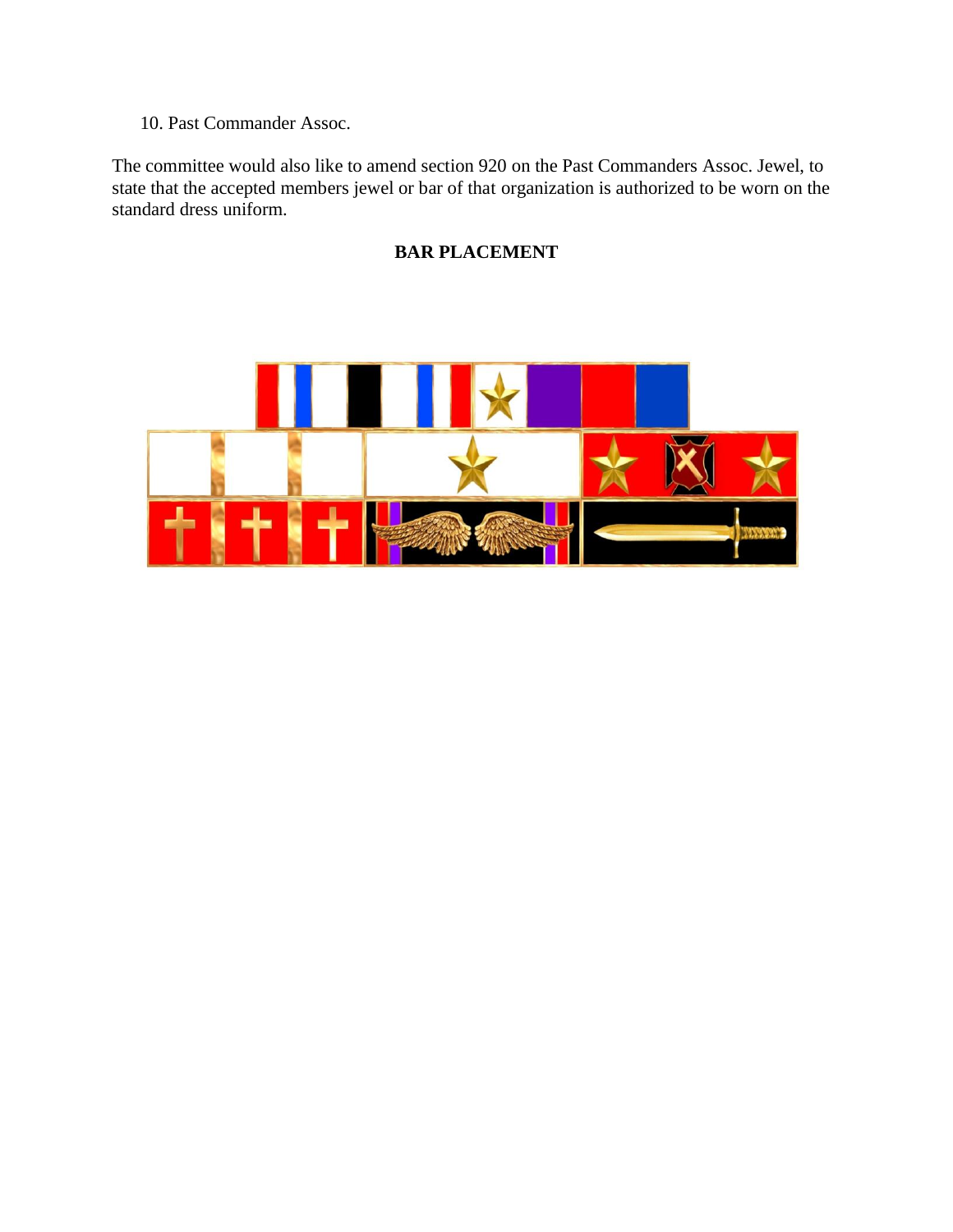10. Past Commander Assoc.

The committee would also like to amend section 920 on the Past Commanders Assoc. Jewel, to state that the accepted members jewel or bar of that organization is authorized to be worn on the standard dress uniform.

# **BAR PLACEMENT**

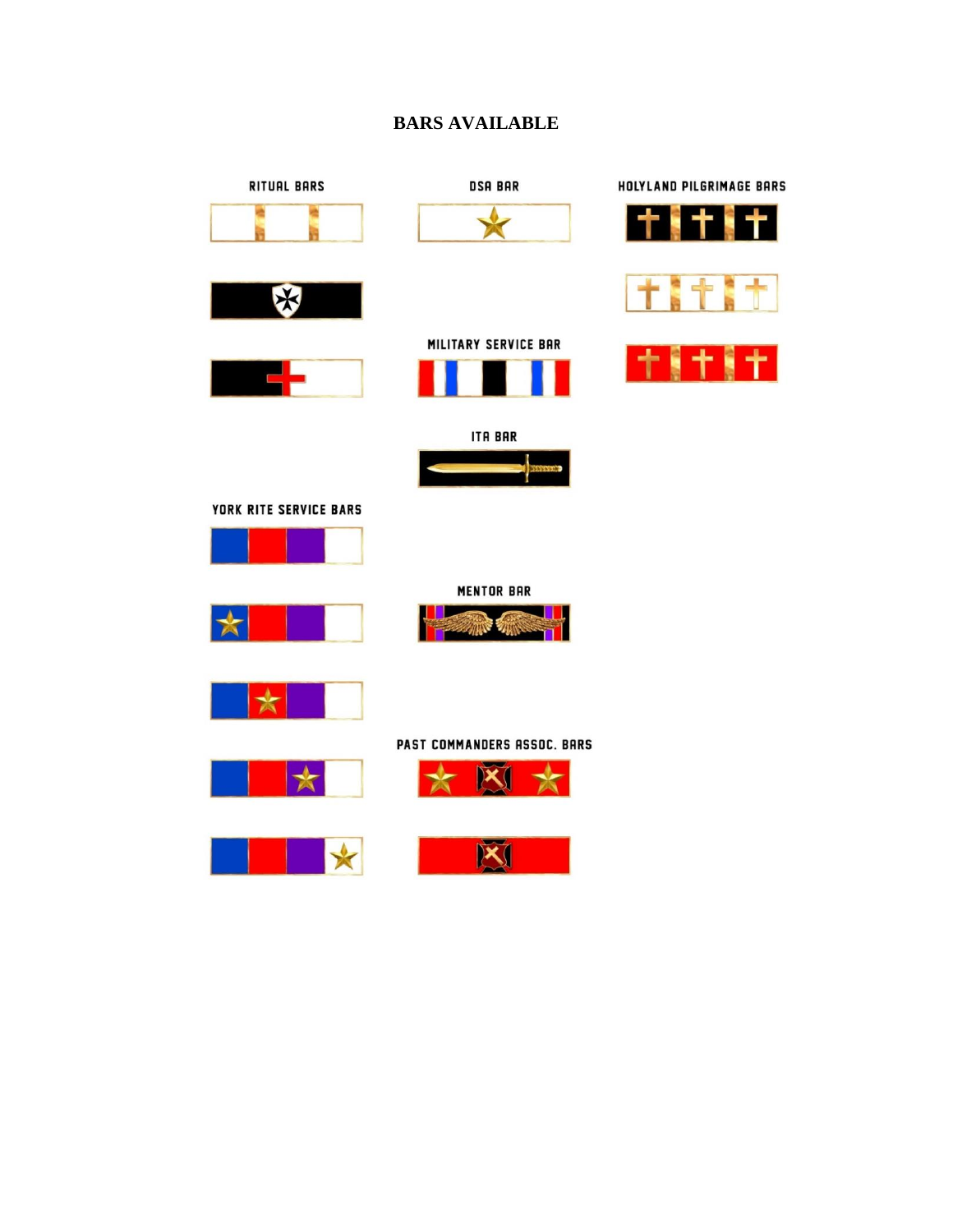## **BARS AVAILABLE**

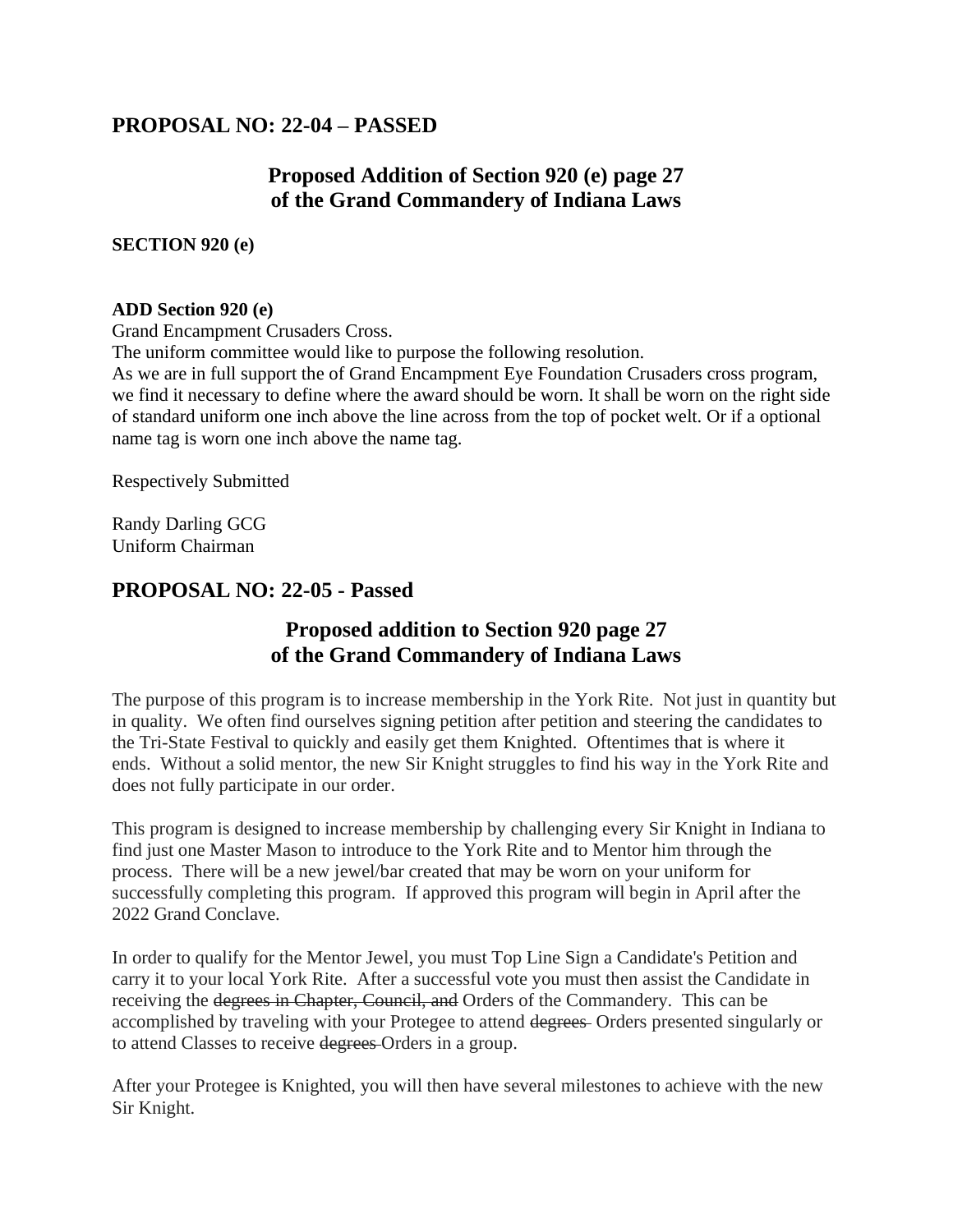# **PROPOSAL NO: 22-04 – PASSED**

# **Proposed Addition of Section 920 (e) page 27 of the Grand Commandery of Indiana Laws**

**SECTION 920 (e)**

## **ADD Section 920 (e)**

Grand Encampment Crusaders Cross.

The uniform committee would like to purpose the following resolution.

As we are in full support the of Grand Encampment Eye Foundation Crusaders cross program, we find it necessary to define where the award should be worn. It shall be worn on the right side of standard uniform one inch above the line across from the top of pocket welt. Or if a optional name tag is worn one inch above the name tag.

Respectively Submitted

Randy Darling GCG Uniform Chairman

# **PROPOSAL NO: 22-05 - Passed**

# **Proposed addition to Section 920 page 27 of the Grand Commandery of Indiana Laws**

The purpose of this program is to increase membership in the York Rite. Not just in quantity but in quality. We often find ourselves signing petition after petition and steering the candidates to the Tri-State Festival to quickly and easily get them Knighted. Oftentimes that is where it ends. Without a solid mentor, the new Sir Knight struggles to find his way in the York Rite and does not fully participate in our order.

This program is designed to increase membership by challenging every Sir Knight in Indiana to find just one Master Mason to introduce to the York Rite and to Mentor him through the process. There will be a new jewel/bar created that may be worn on your uniform for successfully completing this program. If approved this program will begin in April after the 2022 Grand Conclave.

In order to qualify for the Mentor Jewel, you must Top Line Sign a Candidate's Petition and carry it to your local York Rite. After a successful vote you must then assist the Candidate in receiving the degrees in Chapter, Council, and Orders of the Commandery. This can be accomplished by traveling with your Protegee to attend degrees Orders presented singularly or to attend Classes to receive degrees Orders in a group.

After your Protegee is Knighted, you will then have several milestones to achieve with the new Sir Knight.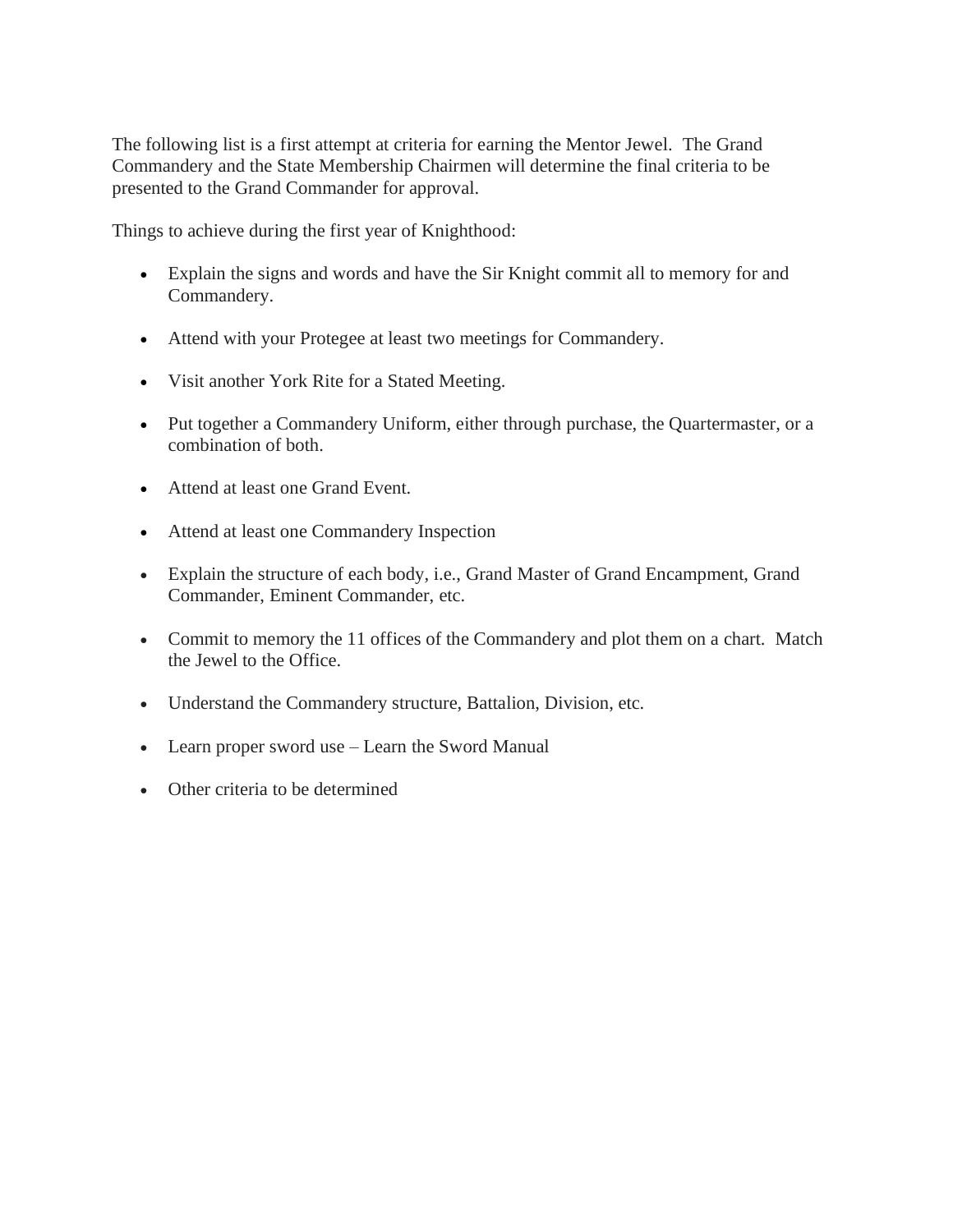The following list is a first attempt at criteria for earning the Mentor Jewel. The Grand Commandery and the State Membership Chairmen will determine the final criteria to be presented to the Grand Commander for approval.

Things to achieve during the first year of Knighthood:

- Explain the signs and words and have the Sir Knight commit all to memory for and Commandery.
- Attend with your Protegee at least two meetings for Commandery.
- Visit another York Rite for a Stated Meeting.
- Put together a Commandery Uniform, either through purchase, the Quartermaster, or a combination of both.
- Attend at least one Grand Event.
- Attend at least one Commandery Inspection
- Explain the structure of each body, i.e., Grand Master of Grand Encampment, Grand Commander, Eminent Commander, etc.
- Commit to memory the 11 offices of the Commandery and plot them on a chart. Match the Jewel to the Office.
- Understand the Commandery structure, Battalion, Division, etc.
- Learn proper sword use Learn the Sword Manual
- Other criteria to be determined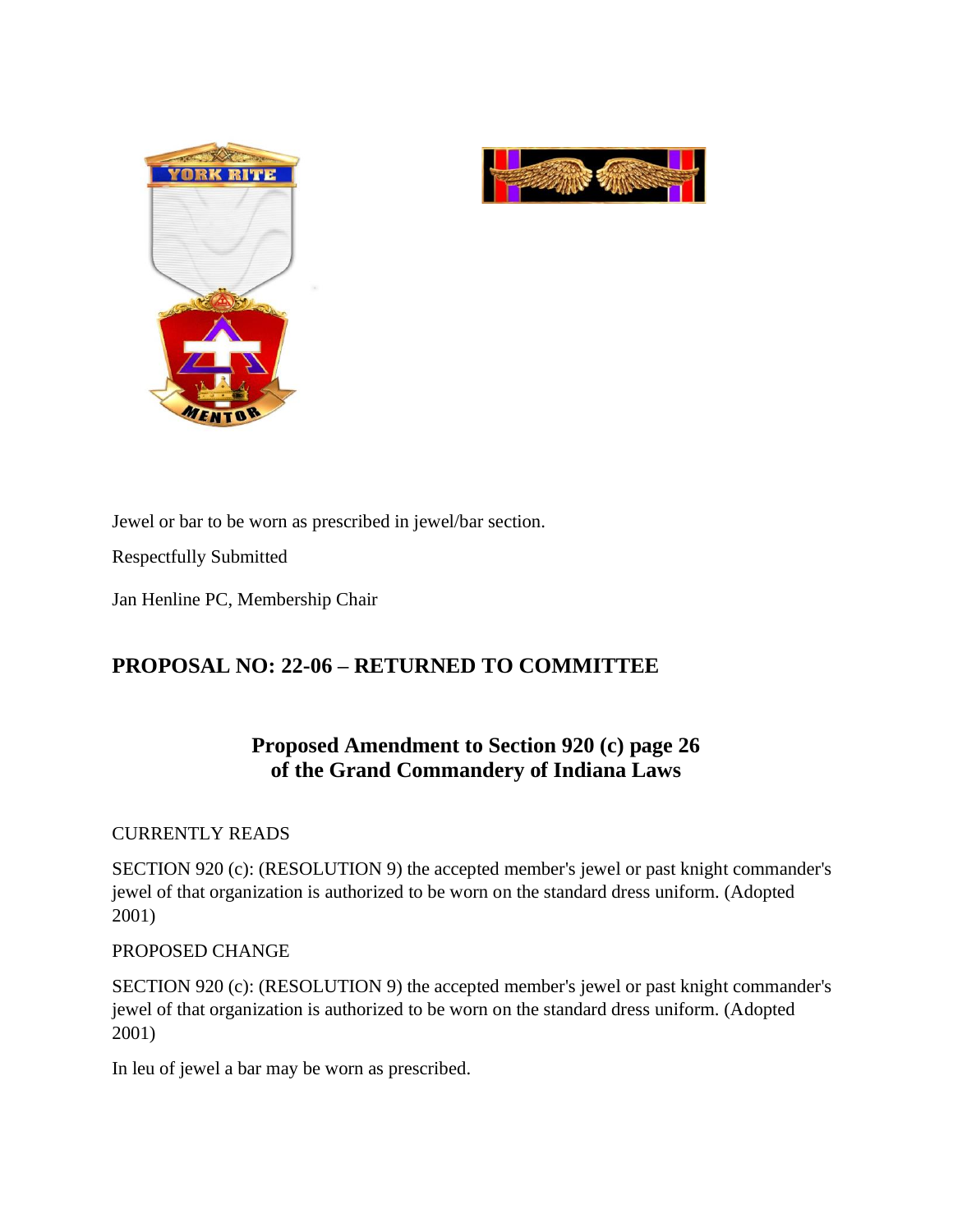



Jewel or bar to be worn as prescribed in jewel/bar section.

Respectfully Submitted

Jan Henline PC, Membership Chair

# **PROPOSAL NO: 22-06 – RETURNED TO COMMITTEE**

# **Proposed Amendment to Section 920 (c) page 26 of the Grand Commandery of Indiana Laws**

## CURRENTLY READS

SECTION 920 (c): (RESOLUTION 9) the accepted member's jewel or past knight commander's jewel of that organization is authorized to be worn on the standard dress uniform. (Adopted 2001)

## PROPOSED CHANGE

SECTION 920 (c): (RESOLUTION 9) the accepted member's jewel or past knight commander's jewel of that organization is authorized to be worn on the standard dress uniform. (Adopted 2001)

In leu of jewel a bar may be worn as prescribed.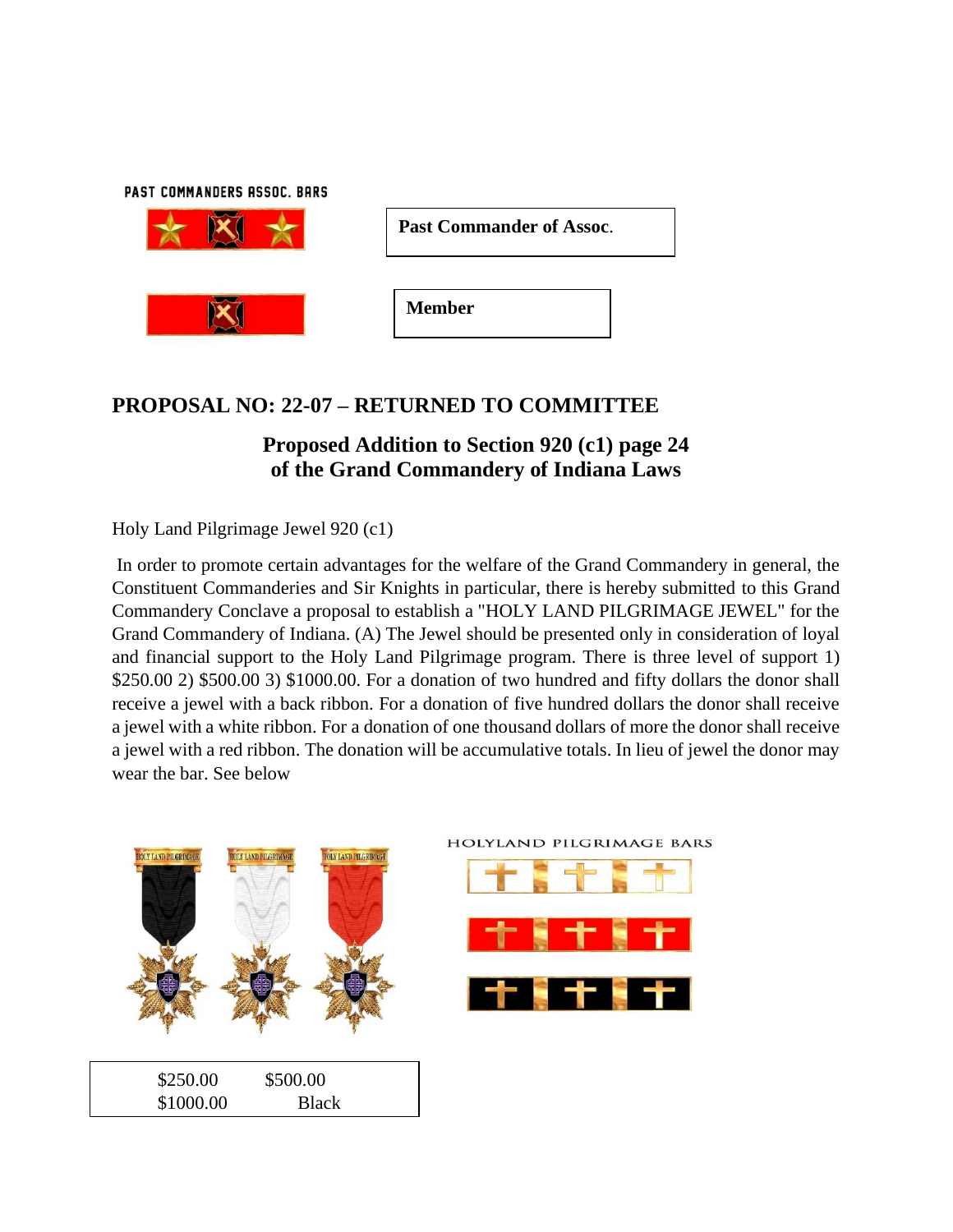PAST COMMANDERS ASSOC. BARS



| <b>Past Commander of Assoc.</b> |  |
|---------------------------------|--|
|---------------------------------|--|

**Member**

# **PROPOSAL NO: 22-07 – RETURNED TO COMMITTEE**

# **Proposed Addition to Section 920 (c1) page 24 of the Grand Commandery of Indiana Laws**

Holy Land Pilgrimage Jewel 920 (c1)

In order to promote certain advantages for the welfare of the Grand Commandery in general, the Constituent Commanderies and Sir Knights in particular, there is hereby submitted to this Grand Commandery Conclave a proposal to establish a "HOLY LAND PILGRIMAGE JEWEL" for the Grand Commandery of Indiana. (A) The Jewel should be presented only in consideration of loyal and financial support to the Holy Land Pilgrimage program. There is three level of support 1) \$250.00 2) \$500.00 3) \$1000.00. For a donation of two hundred and fifty dollars the donor shall receive a jewel with a back ribbon. For a donation of five hundred dollars the donor shall receive a jewel with a white ribbon. For a donation of one thousand dollars of more the donor shall receive a jewel with a red ribbon. The donation will be accumulative totals. In lieu of jewel the donor may wear the bar. See below

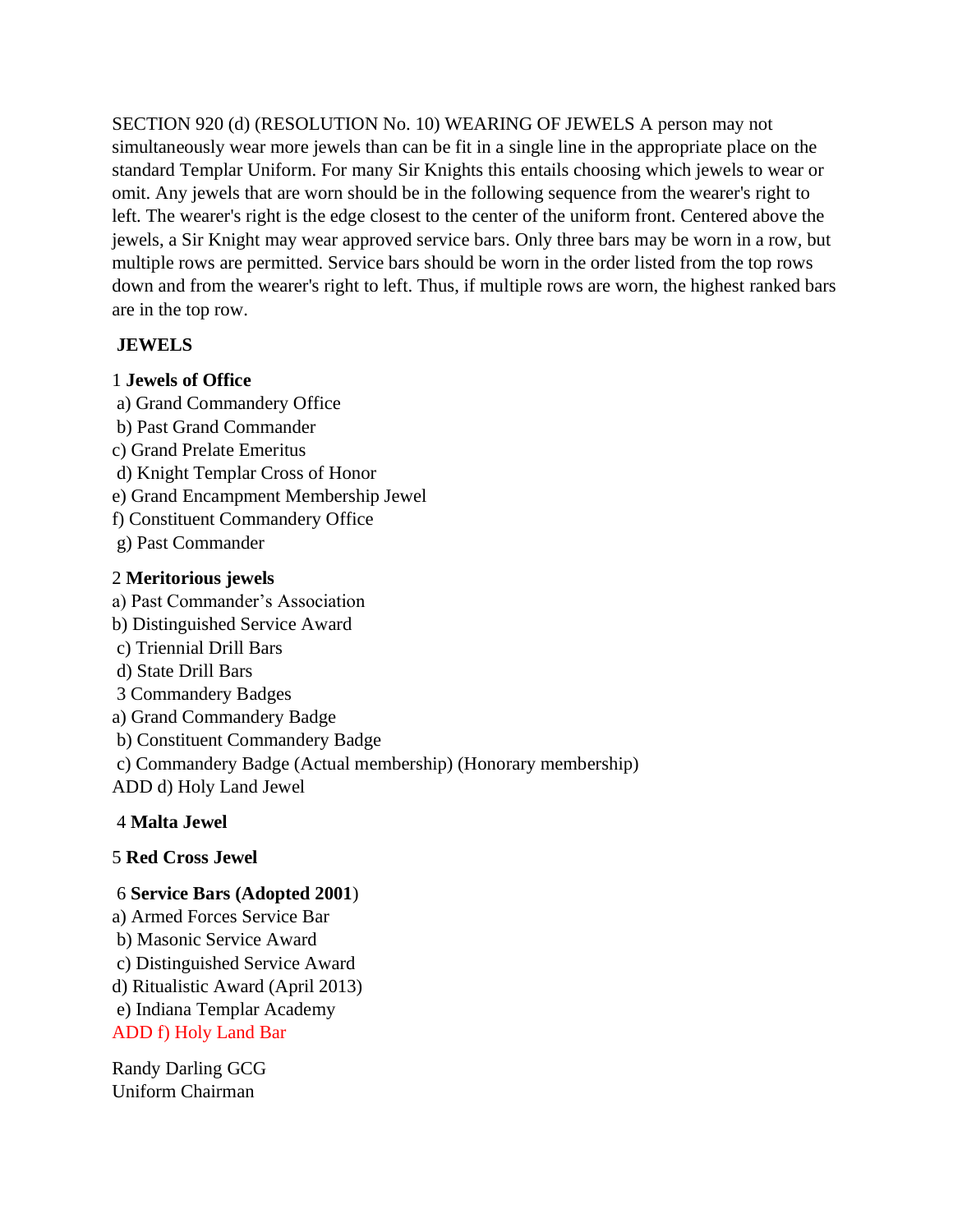SECTION 920 (d) (RESOLUTION No. 10) WEARING OF JEWELS A person may not simultaneously wear more jewels than can be fit in a single line in the appropriate place on the standard Templar Uniform. For many Sir Knights this entails choosing which jewels to wear or omit. Any jewels that are worn should be in the following sequence from the wearer's right to left. The wearer's right is the edge closest to the center of the uniform front. Centered above the jewels, a Sir Knight may wear approved service bars. Only three bars may be worn in a row, but multiple rows are permitted. Service bars should be worn in the order listed from the top rows down and from the wearer's right to left. Thus, if multiple rows are worn, the highest ranked bars are in the top row.

# **JEWELS**

## 1 **Jewels of Office**

a) Grand Commandery Office b) Past Grand Commander c) Grand Prelate Emeritus d) Knight Templar Cross of Honor e) Grand Encampment Membership Jewel f) Constituent Commandery Office g) Past Commander

# 2 **Meritorious jewels**

a) Past Commander's Association b) Distinguished Service Award c) Triennial Drill Bars d) State Drill Bars 3 Commandery Badges a) Grand Commandery Badge b) Constituent Commandery Badge c) Commandery Badge (Actual membership) (Honorary membership) ADD d) Holy Land Jewel 4 **Malta Jewel** 

# 5 **Red Cross Jewel**

# 6 **Service Bars (Adopted 2001**)

a) Armed Forces Service Bar b) Masonic Service Award c) Distinguished Service Award d) Ritualistic Award (April 2013) e) Indiana Templar Academy ADD f) Holy Land Bar

Randy Darling GCG Uniform Chairman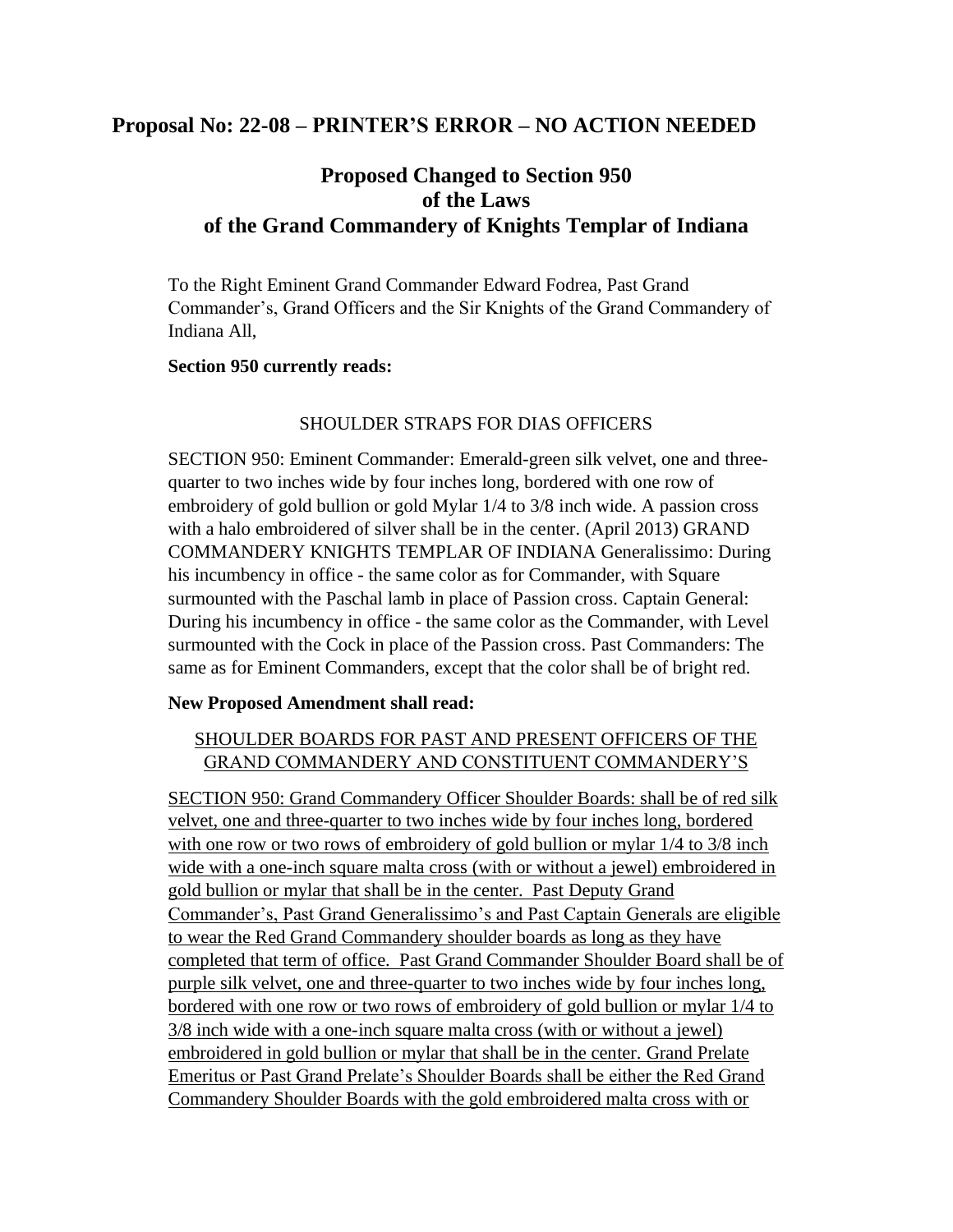# **Proposal No: 22-08 – PRINTER'S ERROR – NO ACTION NEEDED**

# **Proposed Changed to Section 950 of the Laws of the Grand Commandery of Knights Templar of Indiana**

To the Right Eminent Grand Commander Edward Fodrea, Past Grand Commander's, Grand Officers and the Sir Knights of the Grand Commandery of Indiana All,

#### **Section 950 currently reads:**

## SHOULDER STRAPS FOR DIAS OFFICERS

SECTION 950: Eminent Commander: Emerald-green silk velvet, one and threequarter to two inches wide by four inches long, bordered with one row of embroidery of gold bullion or gold Mylar 1/4 to 3/8 inch wide. A passion cross with a halo embroidered of silver shall be in the center. (April 2013) GRAND COMMANDERY KNIGHTS TEMPLAR OF INDIANA Generalissimo: During his incumbency in office - the same color as for Commander, with Square surmounted with the Paschal lamb in place of Passion cross. Captain General: During his incumbency in office - the same color as the Commander, with Level surmounted with the Cock in place of the Passion cross. Past Commanders: The same as for Eminent Commanders, except that the color shall be of bright red.

## **New Proposed Amendment shall read:**

# SHOULDER BOARDS FOR PAST AND PRESENT OFFICERS OF THE GRAND COMMANDERY AND CONSTITUENT COMMANDERY'S

SECTION 950: Grand Commandery Officer Shoulder Boards: shall be of red silk velvet, one and three-quarter to two inches wide by four inches long, bordered with one row or two rows of embroidery of gold bullion or mylar  $1/4$  to  $3/8$  inch wide with a one-inch square malta cross (with or without a jewel) embroidered in gold bullion or mylar that shall be in the center. Past Deputy Grand Commander's, Past Grand Generalissimo's and Past Captain Generals are eligible to wear the Red Grand Commandery shoulder boards as long as they have completed that term of office. Past Grand Commander Shoulder Board shall be of purple silk velvet, one and three-quarter to two inches wide by four inches long, bordered with one row or two rows of embroidery of gold bullion or mylar 1/4 to 3/8 inch wide with a one-inch square malta cross (with or without a jewel) embroidered in gold bullion or mylar that shall be in the center. Grand Prelate Emeritus or Past Grand Prelate's Shoulder Boards shall be either the Red Grand Commandery Shoulder Boards with the gold embroidered malta cross with or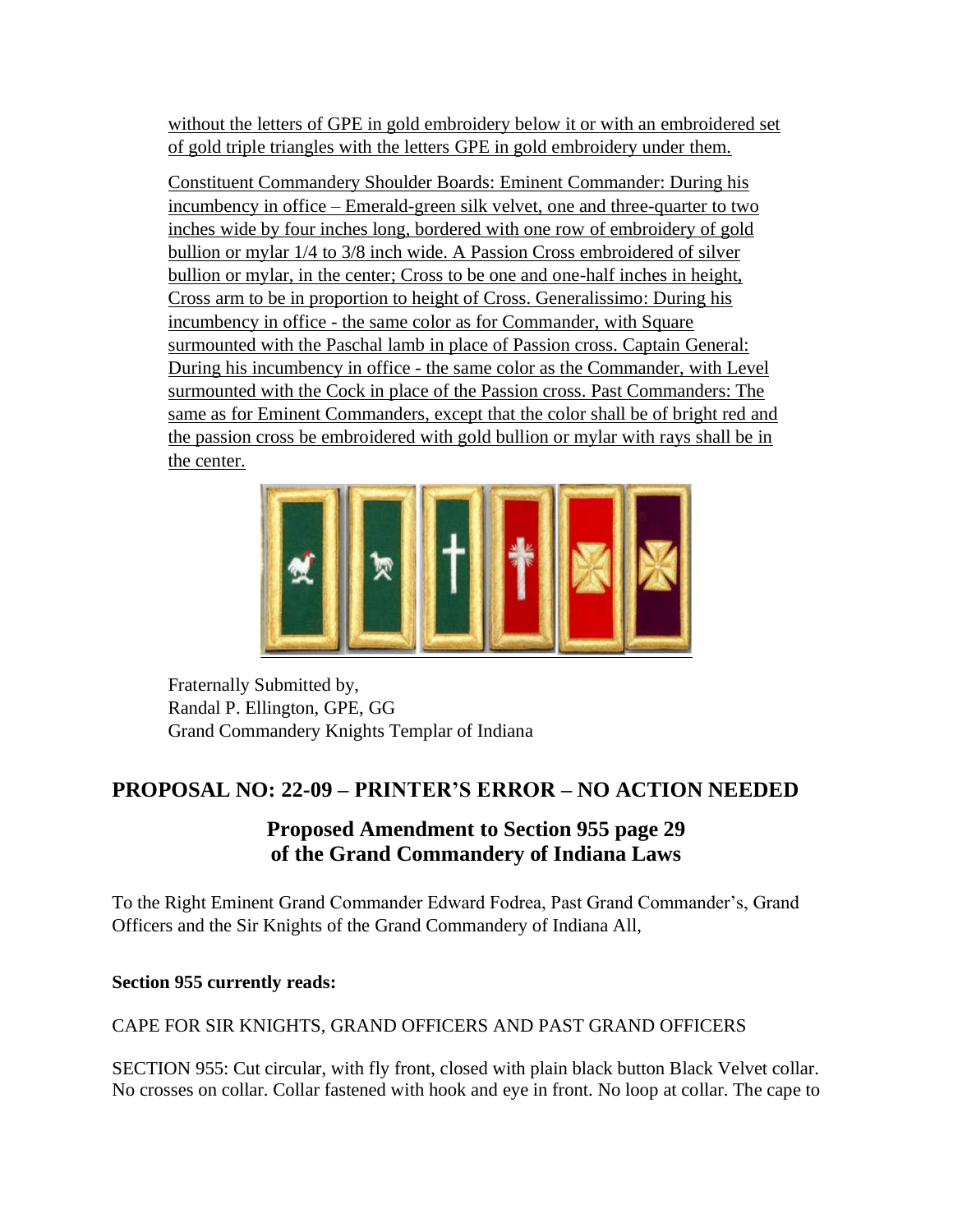without the letters of GPE in gold embroidery below it or with an embroidered set of gold triple triangles with the letters GPE in gold embroidery under them.

Constituent Commandery Shoulder Boards: Eminent Commander: During his incumbency in office – Emerald-green silk velvet, one and three-quarter to two inches wide by four inches long, bordered with one row of embroidery of gold bullion or mylar 1/4 to 3/8 inch wide. A Passion Cross embroidered of silver bullion or mylar, in the center; Cross to be one and one-half inches in height, Cross arm to be in proportion to height of Cross. Generalissimo: During his incumbency in office - the same color as for Commander, with Square surmounted with the Paschal lamb in place of Passion cross. Captain General: During his incumbency in office - the same color as the Commander, with Level surmounted with the Cock in place of the Passion cross. Past Commanders: The same as for Eminent Commanders, except that the color shall be of bright red and the passion cross be embroidered with gold bullion or mylar with rays shall be in the center.



Fraternally Submitted by, Randal P. Ellington, GPE, GG Grand Commandery Knights Templar of Indiana

# **PROPOSAL NO: 22-09 – PRINTER'S ERROR – NO ACTION NEEDED**

# **Proposed Amendment to Section 955 page 29 of the Grand Commandery of Indiana Laws**

To the Right Eminent Grand Commander Edward Fodrea, Past Grand Commander's, Grand Officers and the Sir Knights of the Grand Commandery of Indiana All,

# **Section 955 currently reads:**

# CAPE FOR SIR KNIGHTS, GRAND OFFICERS AND PAST GRAND OFFICERS

SECTION 955: Cut circular, with fly front, closed with plain black button Black Velvet collar. No crosses on collar. Collar fastened with hook and eye in front. No loop at collar. The cape to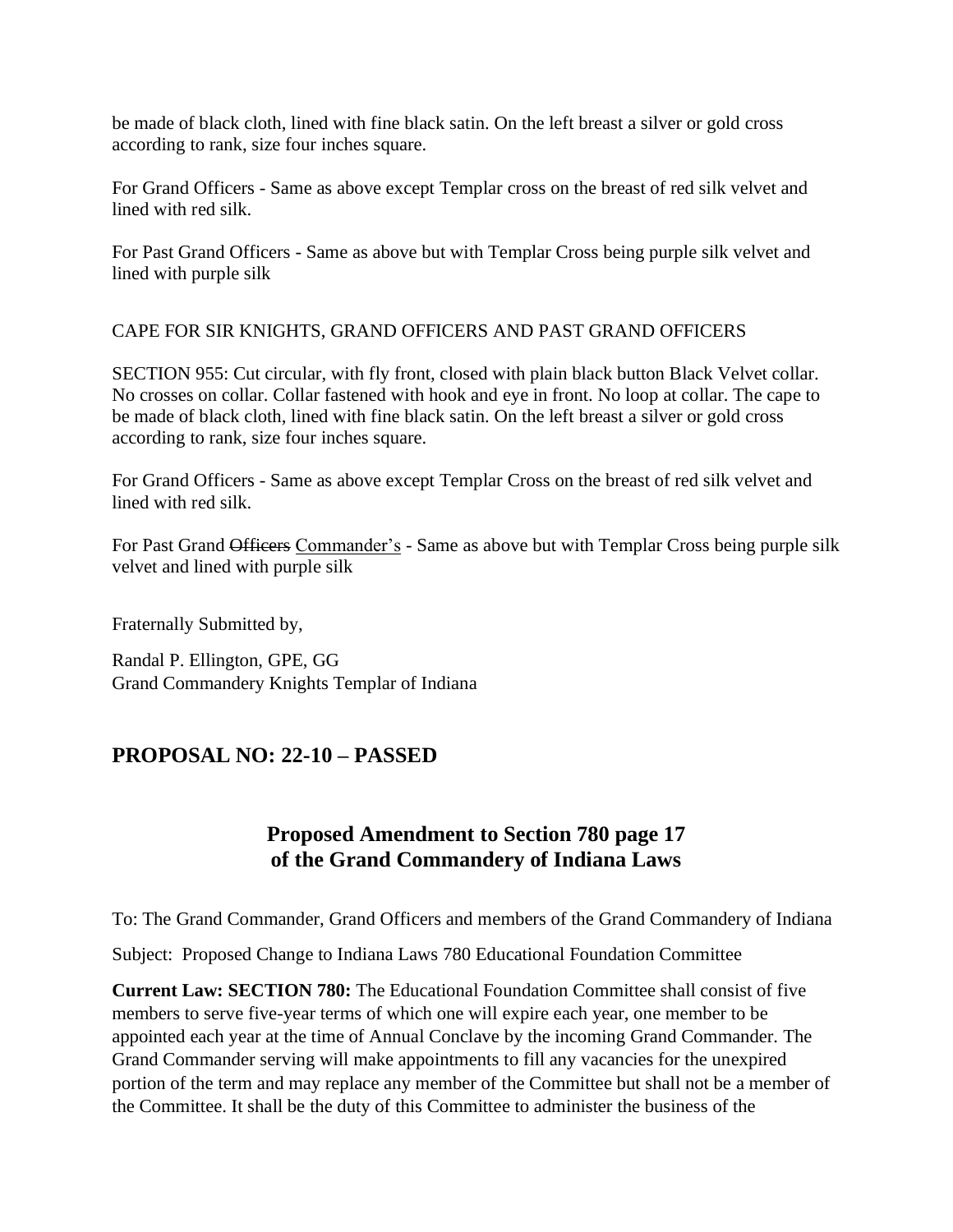be made of black cloth, lined with fine black satin. On the left breast a silver or gold cross according to rank, size four inches square.

For Grand Officers - Same as above except Templar cross on the breast of red silk velvet and lined with red silk.

For Past Grand Officers - Same as above but with Templar Cross being purple silk velvet and lined with purple silk

CAPE FOR SIR KNIGHTS, GRAND OFFICERS AND PAST GRAND OFFICERS

SECTION 955: Cut circular, with fly front, closed with plain black button Black Velvet collar. No crosses on collar. Collar fastened with hook and eye in front. No loop at collar. The cape to be made of black cloth, lined with fine black satin. On the left breast a silver or gold cross according to rank, size four inches square.

For Grand Officers - Same as above except Templar Cross on the breast of red silk velvet and lined with red silk.

For Past Grand Officers Commander's - Same as above but with Templar Cross being purple silk velvet and lined with purple silk

Fraternally Submitted by,

Randal P. Ellington, GPE, GG Grand Commandery Knights Templar of Indiana

# **PROPOSAL NO: 22-10 – PASSED**

# **Proposed Amendment to Section 780 page 17 of the Grand Commandery of Indiana Laws**

To: The Grand Commander, Grand Officers and members of the Grand Commandery of Indiana

Subject: Proposed Change to Indiana Laws 780 Educational Foundation Committee

**Current Law: SECTION 780:** The Educational Foundation Committee shall consist of five members to serve five-year terms of which one will expire each year, one member to be appointed each year at the time of Annual Conclave by the incoming Grand Commander. The Grand Commander serving will make appointments to fill any vacancies for the unexpired portion of the term and may replace any member of the Committee but shall not be a member of the Committee. It shall be the duty of this Committee to administer the business of the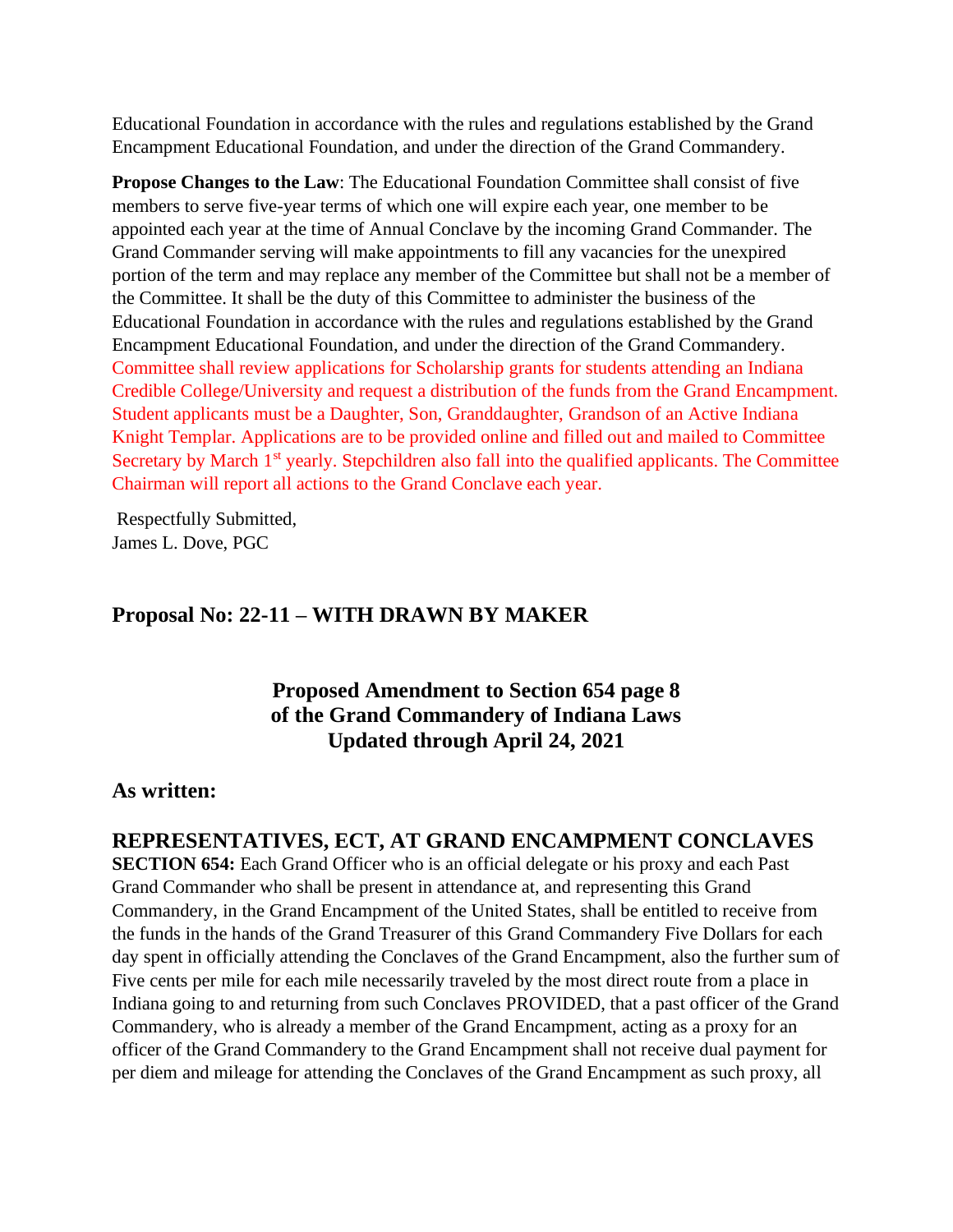Educational Foundation in accordance with the rules and regulations established by the Grand Encampment Educational Foundation, and under the direction of the Grand Commandery.

**Propose Changes to the Law:** The Educational Foundation Committee shall consist of five members to serve five-year terms of which one will expire each year, one member to be appointed each year at the time of Annual Conclave by the incoming Grand Commander. The Grand Commander serving will make appointments to fill any vacancies for the unexpired portion of the term and may replace any member of the Committee but shall not be a member of the Committee. It shall be the duty of this Committee to administer the business of the Educational Foundation in accordance with the rules and regulations established by the Grand Encampment Educational Foundation, and under the direction of the Grand Commandery. Committee shall review applications for Scholarship grants for students attending an Indiana Credible College/University and request a distribution of the funds from the Grand Encampment. Student applicants must be a Daughter, Son, Granddaughter, Grandson of an Active Indiana Knight Templar. Applications are to be provided online and filled out and mailed to Committee Secretary by March 1<sup>st</sup> yearly. Stepchildren also fall into the qualified applicants. The Committee Chairman will report all actions to the Grand Conclave each year.

Respectfully Submitted, James L. Dove, PGC

# **Proposal No: 22-11 – WITH DRAWN BY MAKER**

**Proposed Amendment to Section 654 page 8 of the Grand Commandery of Indiana Laws Updated through April 24, 2021**

## **As written:**

## **REPRESENTATIVES, ECT, AT GRAND ENCAMPMENT CONCLAVES**

**SECTION 654:** Each Grand Officer who is an official delegate or his proxy and each Past Grand Commander who shall be present in attendance at, and representing this Grand Commandery, in the Grand Encampment of the United States, shall be entitled to receive from the funds in the hands of the Grand Treasurer of this Grand Commandery Five Dollars for each day spent in officially attending the Conclaves of the Grand Encampment, also the further sum of Five cents per mile for each mile necessarily traveled by the most direct route from a place in Indiana going to and returning from such Conclaves PROVIDED, that a past officer of the Grand Commandery, who is already a member of the Grand Encampment, acting as a proxy for an officer of the Grand Commandery to the Grand Encampment shall not receive dual payment for per diem and mileage for attending the Conclaves of the Grand Encampment as such proxy, all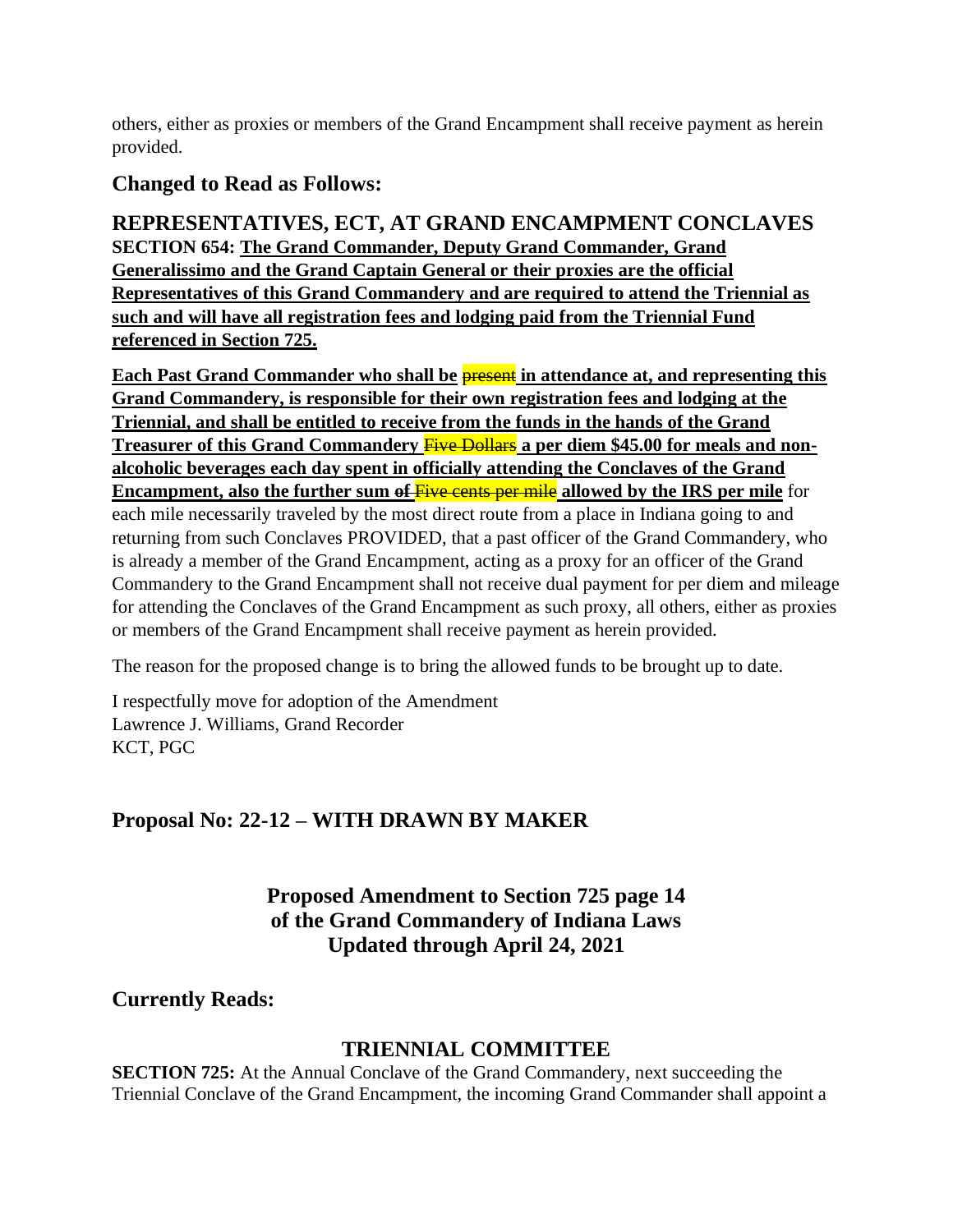others, either as proxies or members of the Grand Encampment shall receive payment as herein provided.

# **Changed to Read as Follows:**

**REPRESENTATIVES, ECT, AT GRAND ENCAMPMENT CONCLAVES SECTION 654: The Grand Commander, Deputy Grand Commander, Grand Generalissimo and the Grand Captain General or their proxies are the official Representatives of this Grand Commandery and are required to attend the Triennial as such and will have all registration fees and lodging paid from the Triennial Fund referenced in Section 725.** 

**Each Past Grand Commander who shall be present** in attendance at, and representing this **Grand Commandery, is responsible for their own registration fees and lodging at the Triennial, and shall be entitled to receive from the funds in the hands of the Grand Treasurer of this Grand Commandery <b>Five Dollars** a per diem \$45.00 for meals and non**alcoholic beverages each day spent in officially attending the Conclaves of the Grand Encampment, also the further sum o<del>f Five cents per mile</del> allowed by the IRS per mile for** each mile necessarily traveled by the most direct route from a place in Indiana going to and returning from such Conclaves PROVIDED, that a past officer of the Grand Commandery, who is already a member of the Grand Encampment, acting as a proxy for an officer of the Grand Commandery to the Grand Encampment shall not receive dual payment for per diem and mileage for attending the Conclaves of the Grand Encampment as such proxy, all others, either as proxies or members of the Grand Encampment shall receive payment as herein provided.

The reason for the proposed change is to bring the allowed funds to be brought up to date.

I respectfully move for adoption of the Amendment Lawrence J. Williams, Grand Recorder KCT, PGC

# **Proposal No: 22-12 – WITH DRAWN BY MAKER**

**Proposed Amendment to Section 725 page 14 of the Grand Commandery of Indiana Laws Updated through April 24, 2021**

**Currently Reads:**

# **TRIENNIAL COMMITTEE**

**SECTION 725:** At the Annual Conclave of the Grand Commandery, next succeeding the Triennial Conclave of the Grand Encampment, the incoming Grand Commander shall appoint a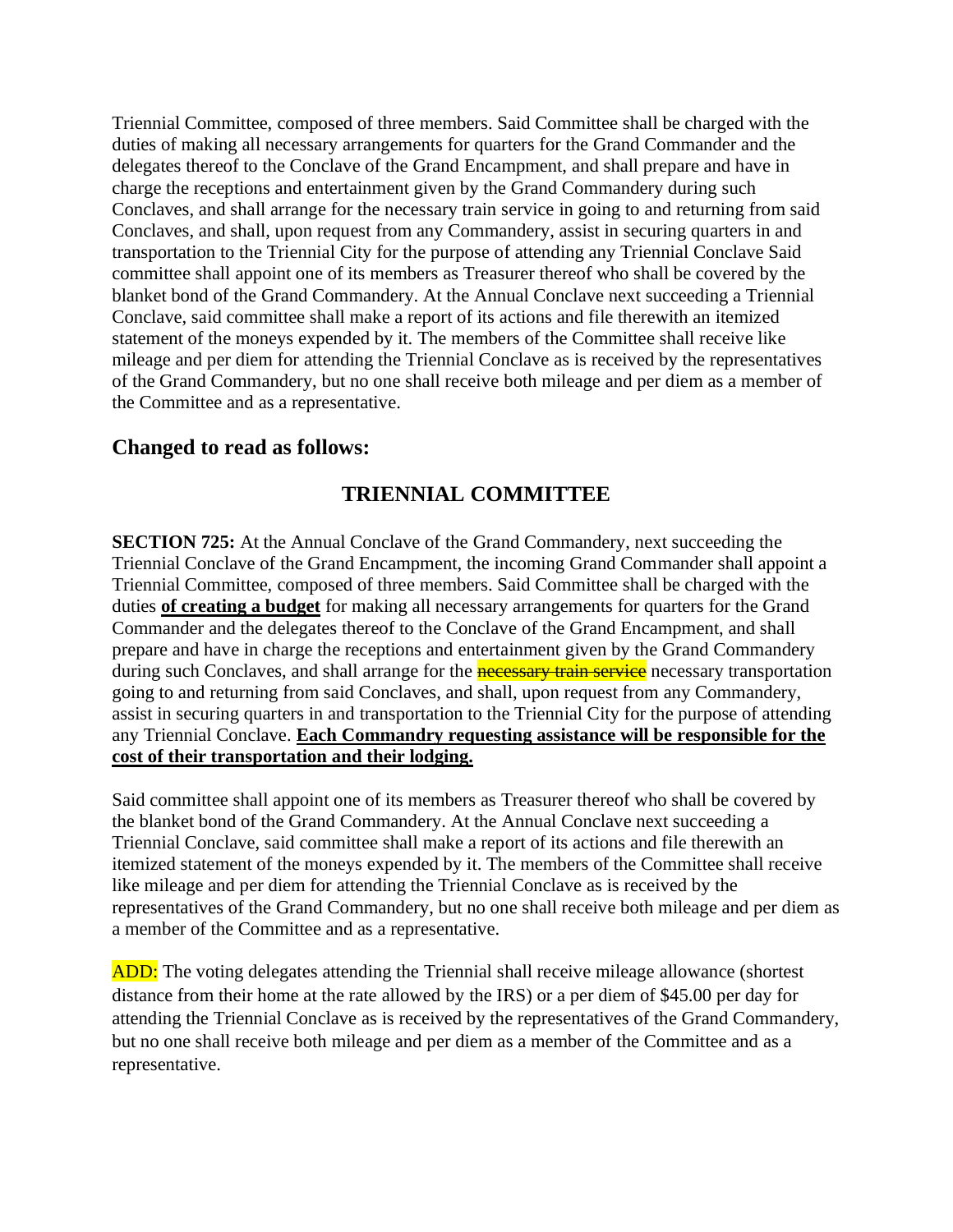Triennial Committee, composed of three members. Said Committee shall be charged with the duties of making all necessary arrangements for quarters for the Grand Commander and the delegates thereof to the Conclave of the Grand Encampment, and shall prepare and have in charge the receptions and entertainment given by the Grand Commandery during such Conclaves, and shall arrange for the necessary train service in going to and returning from said Conclaves, and shall, upon request from any Commandery, assist in securing quarters in and transportation to the Triennial City for the purpose of attending any Triennial Conclave Said committee shall appoint one of its members as Treasurer thereof who shall be covered by the blanket bond of the Grand Commandery. At the Annual Conclave next succeeding a Triennial Conclave, said committee shall make a report of its actions and file therewith an itemized statement of the moneys expended by it. The members of the Committee shall receive like mileage and per diem for attending the Triennial Conclave as is received by the representatives of the Grand Commandery, but no one shall receive both mileage and per diem as a member of the Committee and as a representative.

# **Changed to read as follows:**

# **TRIENNIAL COMMITTEE**

**SECTION 725:** At the Annual Conclave of the Grand Commandery, next succeeding the Triennial Conclave of the Grand Encampment, the incoming Grand Commander shall appoint a Triennial Committee, composed of three members. Said Committee shall be charged with the duties **of creating a budget** for making all necessary arrangements for quarters for the Grand Commander and the delegates thereof to the Conclave of the Grand Encampment, and shall prepare and have in charge the receptions and entertainment given by the Grand Commandery during such Conclaves, and shall arrange for the **necessary train service** necessary transportation going to and returning from said Conclaves, and shall, upon request from any Commandery, assist in securing quarters in and transportation to the Triennial City for the purpose of attending any Triennial Conclave. **Each Commandry requesting assistance will be responsible for the cost of their transportation and their lodging.**

Said committee shall appoint one of its members as Treasurer thereof who shall be covered by the blanket bond of the Grand Commandery. At the Annual Conclave next succeeding a Triennial Conclave, said committee shall make a report of its actions and file therewith an itemized statement of the moneys expended by it. The members of the Committee shall receive like mileage and per diem for attending the Triennial Conclave as is received by the representatives of the Grand Commandery, but no one shall receive both mileage and per diem as a member of the Committee and as a representative.

**ADD:** The voting delegates attending the Triennial shall receive mileage allowance (shortest distance from their home at the rate allowed by the IRS) or a per diem of \$45.00 per day for attending the Triennial Conclave as is received by the representatives of the Grand Commandery, but no one shall receive both mileage and per diem as a member of the Committee and as a representative.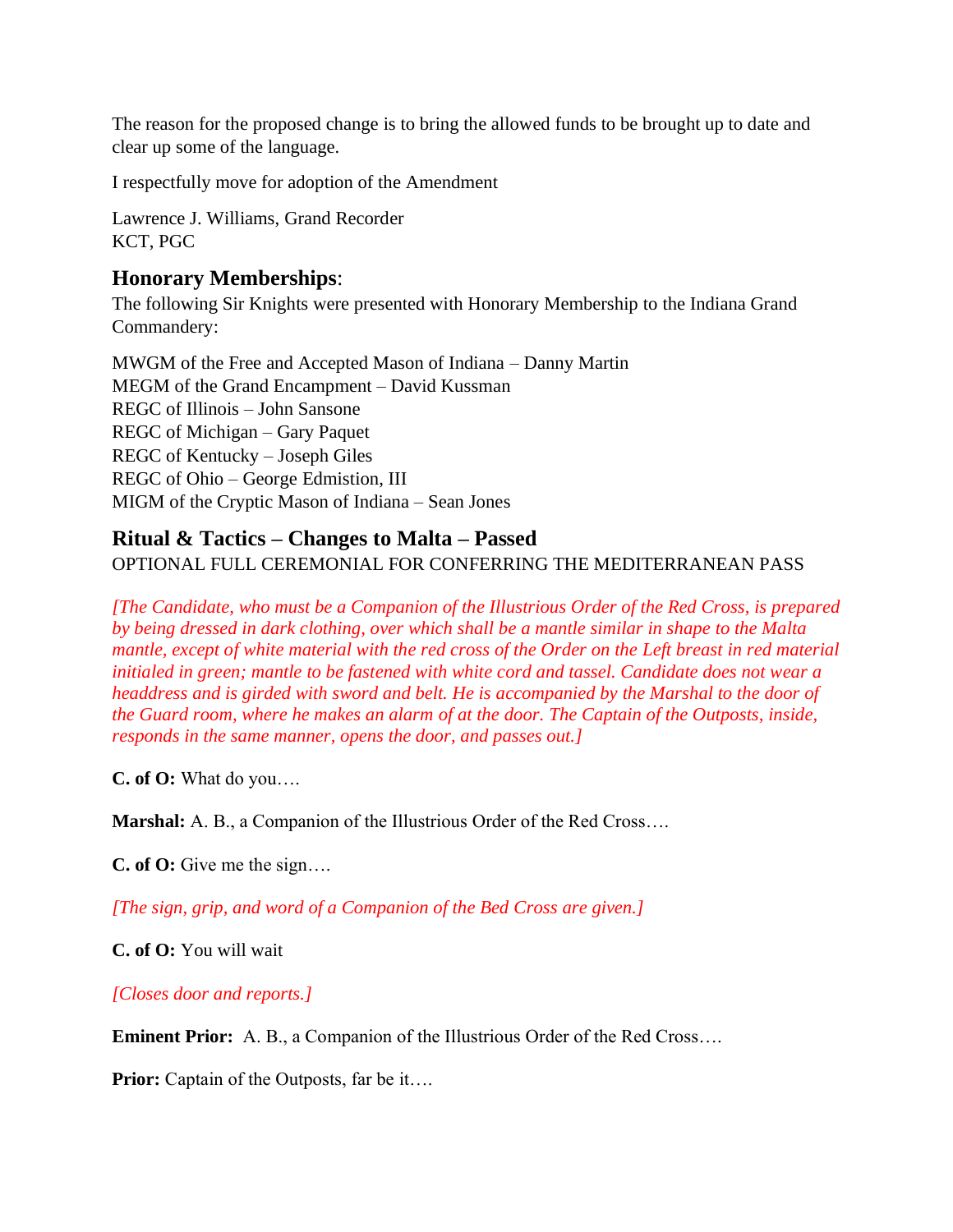The reason for the proposed change is to bring the allowed funds to be brought up to date and clear up some of the language.

I respectfully move for adoption of the Amendment

Lawrence J. Williams, Grand Recorder KCT, PGC

# **Honorary Memberships**:

The following Sir Knights were presented with Honorary Membership to the Indiana Grand Commandery:

MWGM of the Free and Accepted Mason of Indiana – Danny Martin MEGM of the Grand Encampment – David Kussman REGC of Illinois – John Sansone REGC of Michigan – Gary Paquet REGC of Kentucky – Joseph Giles REGC of Ohio – George Edmistion, III MIGM of the Cryptic Mason of Indiana – Sean Jones

# **Ritual & Tactics – Changes to Malta – Passed**

OPTIONAL FULL CEREMONIAL FOR CONFERRING THE MEDITERRANEAN PASS

*[The Candidate, who must be a Companion of the Illustrious Order of the Red Cross, is prepared by being dressed in dark clothing, over which shall be a mantle similar in shape to the Malta mantle, except of white material with the red cross of the Order on the Left breast in red material initialed in green; mantle to be fastened with white cord and tassel. Candidate does not wear a headdress and is girded with sword and belt. He is accompanied by the Marshal to the door of the Guard room, where he makes an alarm of at the door. The Captain of the Outposts, inside, responds in the same manner, opens the door, and passes out.]*

**C. of O:** What do you….

**Marshal:** A. B., a Companion of the Illustrious Order of the Red Cross….

**C. of O:** Give me the sign….

*[The sign, grip, and word of a Companion of the Bed Cross are given.]*

**C. of O:** You will wait

*[Closes door and reports.]*

**Eminent Prior:** A. B., a Companion of the Illustrious Order of the Red Cross....

**Prior:** Captain of the Outposts, far be it....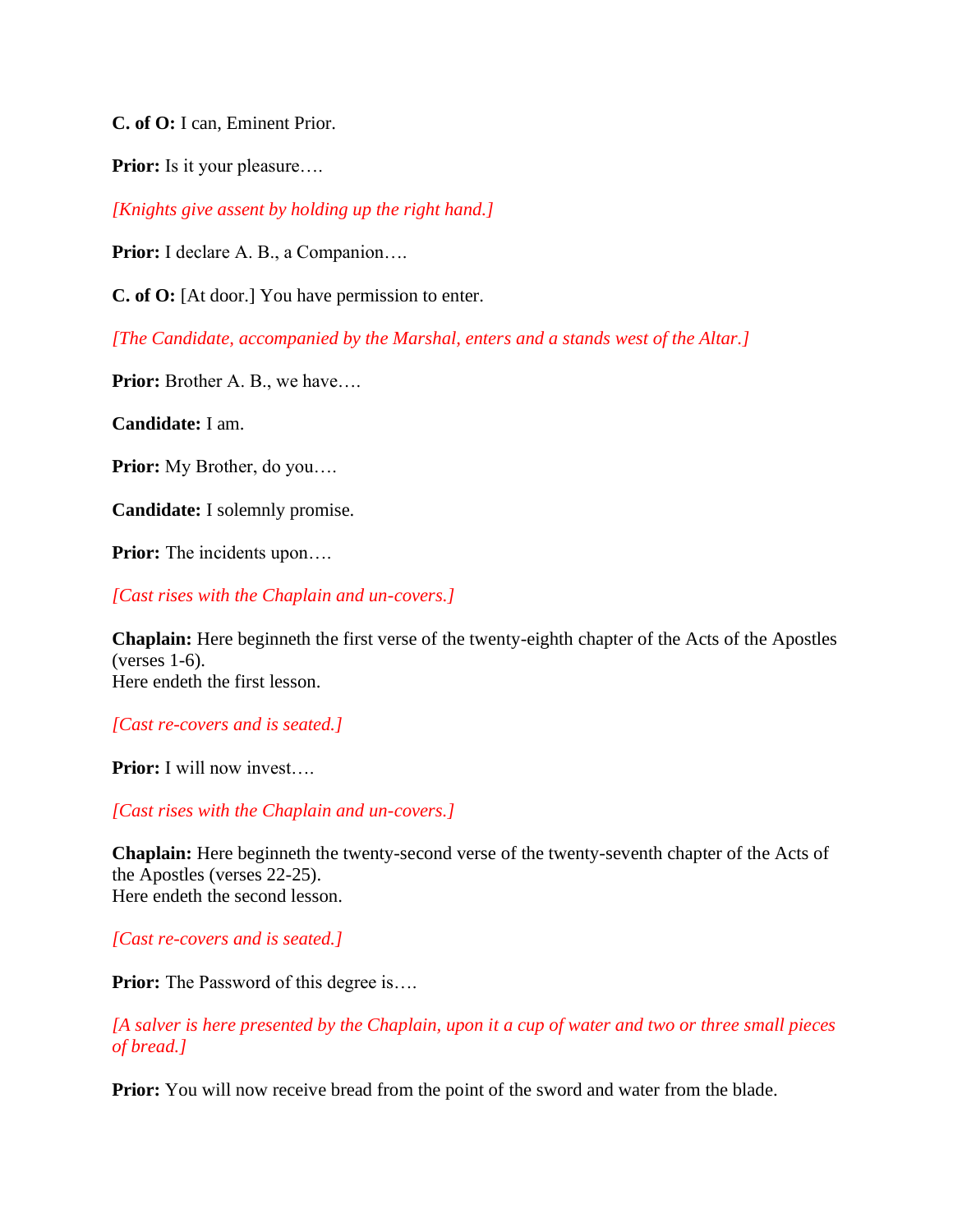**C. of O:** I can, Eminent Prior.

**Prior:** Is it your pleasure….

*[Knights give assent by holding up the right hand.]*

**Prior:** I declare A. B., a Companion….

**C. of O:** [At door.] You have permission to enter.

*[The Candidate, accompanied by the Marshal, enters and a stands west of the Altar.]*

**Prior:** Brother A. B., we have….

**Candidate:** I am.

**Prior:** My Brother, do you….

**Candidate:** I solemnly promise.

**Prior:** The incidents upon….

*[Cast rises with the Chaplain and un-covers.]*

**Chaplain:** Here beginneth the first verse of the twenty-eighth chapter of the Acts of the Apostles (verses 1-6). Here endeth the first lesson.

*[Cast re-covers and is seated.]*

**Prior:** I will now invest….

*[Cast rises with the Chaplain and un-covers.]*

**Chaplain:** Here beginneth the twenty-second verse of the twenty-seventh chapter of the Acts of the Apostles (verses 22-25). Here endeth the second lesson.

*[Cast re-covers and is seated.]*

**Prior:** The Password of this degree is....

*[A salver is here presented by the Chaplain, upon it a cup of water and two or three small pieces of bread.]*

**Prior:** You will now receive bread from the point of the sword and water from the blade.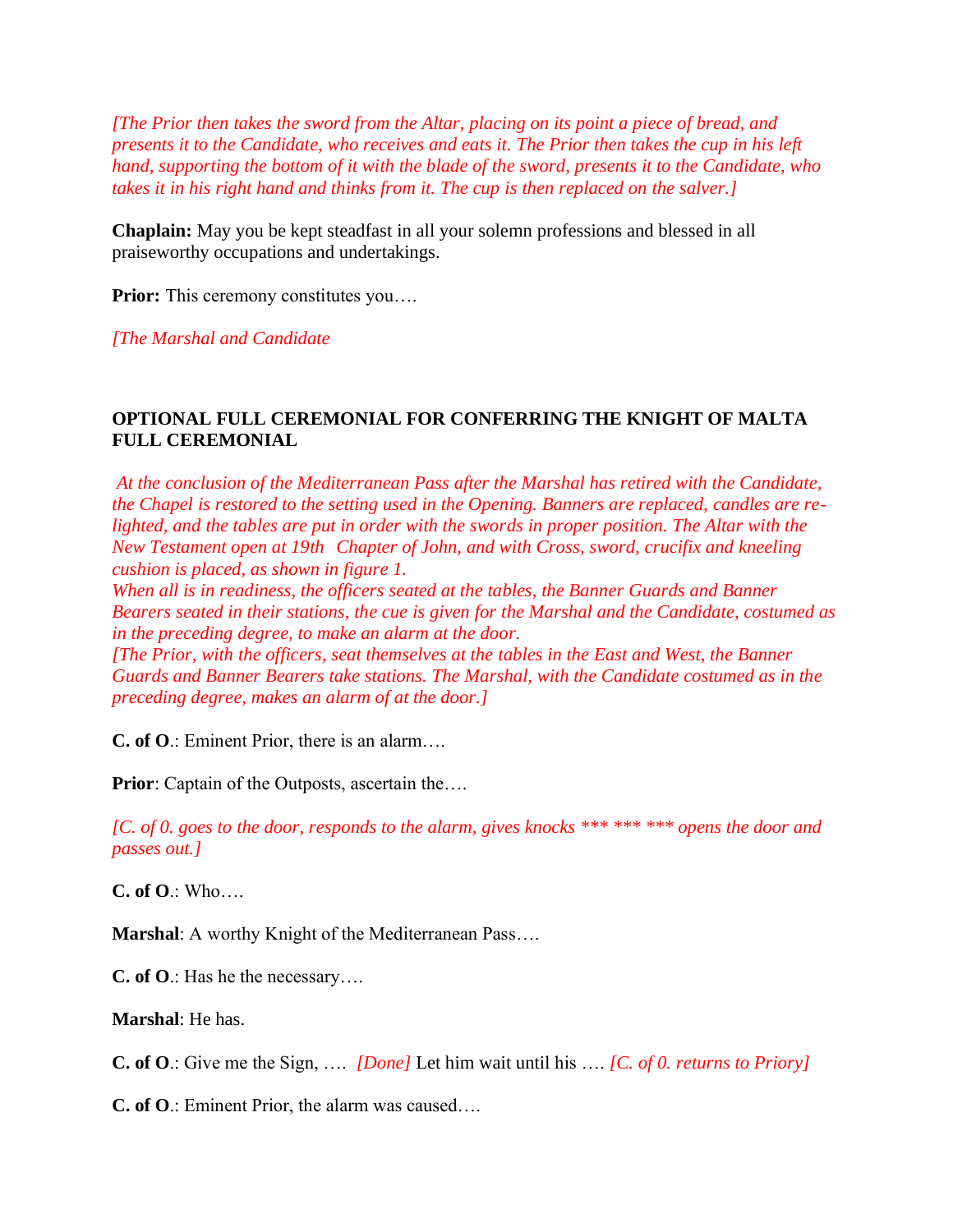*[The Prior then takes the sword from the Altar, placing on its point a piece of bread, and presents it to the Candidate, who receives and eats it. The Prior then takes the cup in his left hand, supporting the bottom of it with the blade of the sword, presents it to the Candidate, who takes it in his right hand and thinks from it. The cup is then replaced on the salver.]*

**Chaplain:** May you be kept steadfast in all your solemn professions and blessed in all praiseworthy occupations and undertakings.

**Prior:** This ceremony constitutes you....

*[The Marshal and Candidate*

## **OPTIONAL FULL CEREMONIAL FOR CONFERRING THE KNIGHT OF MALTA FULL CEREMONIAL**

*At the conclusion of the Mediterranean Pass after the Marshal has retired with the Candidate, the Chapel is restored to the setting used in the Opening. Banners are replaced, candles are relighted, and the tables are put in order with the swords in proper position. The Altar with the New Testament open at 19th Chapter of John, and with Cross, sword, crucifix and kneeling cushion is placed, as shown in figure 1.*

*When all is in readiness, the officers seated at the tables, the Banner Guards and Banner Bearers seated in their stations, the cue is given for the Marshal and the Candidate, costumed as in the preceding degree, to make an alarm at the door.*

*[The Prior, with the officers, seat themselves at the tables in the East and West, the Banner Guards and Banner Bearers take stations. The Marshal, with the Candidate costumed as in the preceding degree, makes an alarm of at the door.]*

**C. of O**.: Eminent Prior, there is an alarm….

**Prior**: Captain of the Outposts, ascertain the....

*[C. of 0. goes to the door, responds to the alarm, gives knocks \*\*\* \*\*\* \*\*\* opens the door and passes out.]*

**C. of O**.: Who….

**Marshal**: A worthy Knight of the Mediterranean Pass….

**C. of O**.: Has he the necessary….

**Marshal**: He has.

**C. of O**.: Give me the Sign, …. *[Done]* Let him wait until his …. *[C. of 0. returns to Priory]* 

**C. of O**.: Eminent Prior, the alarm was caused….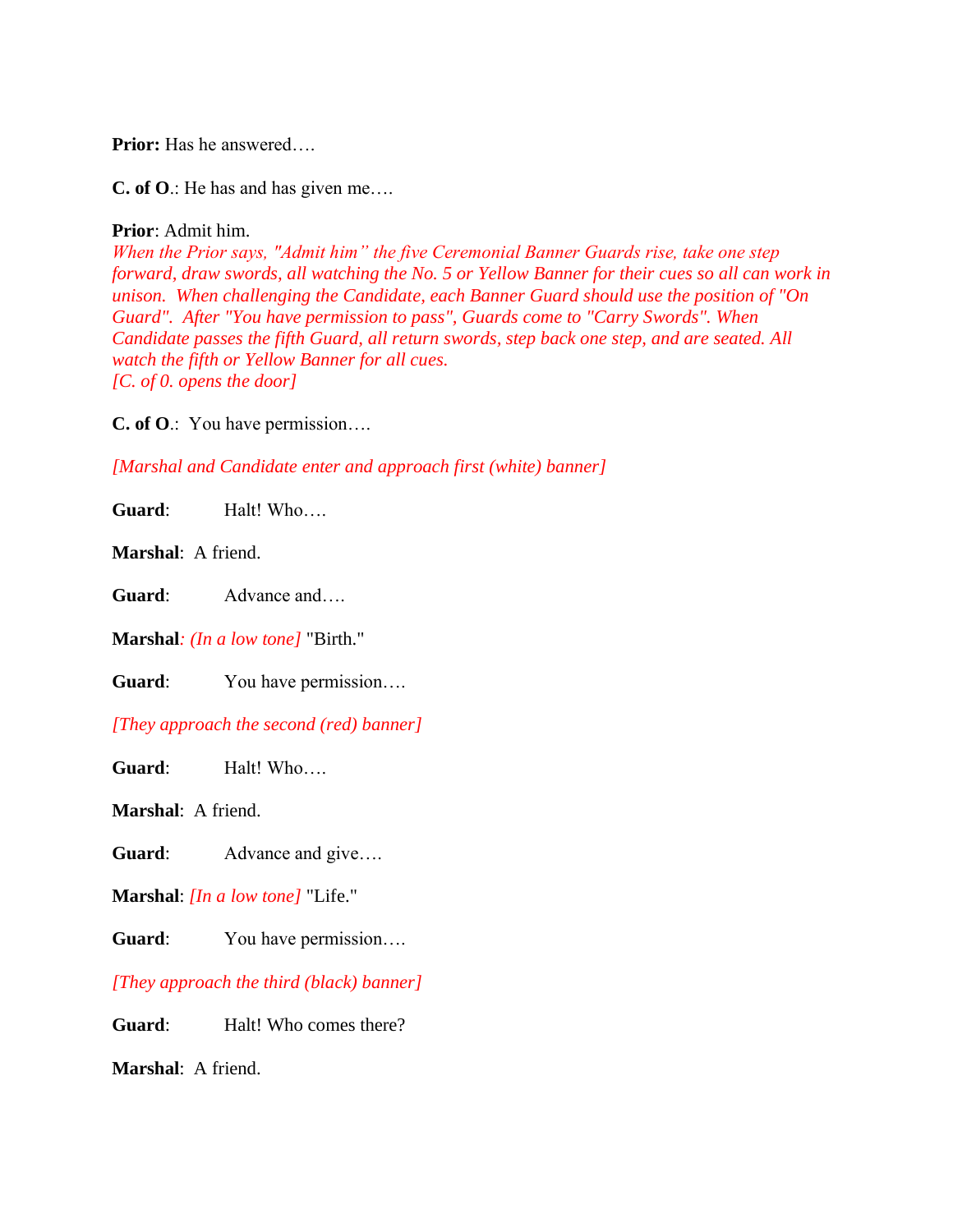**Prior:** Has he answered….

**C. of O**.: He has and has given me….

#### **Prior**: Admit him.

*When the Prior says, "Admit him" the five Ceremonial Banner Guards rise, take one step forward, draw swords, all watching the No. 5 or Yellow Banner for their cues so all can work in unison. When challenging the Candidate, each Banner Guard should use the position of "On Guard". After "You have permission to pass", Guards come to "Carry Swords". When Candidate passes the fifth Guard, all return swords, step back one step, and are seated. All watch the fifth or Yellow Banner for all cues. [C. of 0. opens the door]*

**C. of O**.: You have permission….

*[Marshal and Candidate enter and approach first (white) banner]*

**Guard**: Halt! Who….

**Marshal**: A friend.

**Guard**: Advance and….

**Marshal***: (In a low tone]* "Birth."

**Guard**: You have permission….

*[They approach the second (red) banner]*

Guard: Halt! Who....

**Marshal**: A friend.

Guard: Advance and give....

**Marshal**: *[In a low tone]* "Life."

**Guard**: You have permission….

*[They approach the third (black) banner]*

**Guard**: Halt! Who comes there?

**Marshal**: A friend.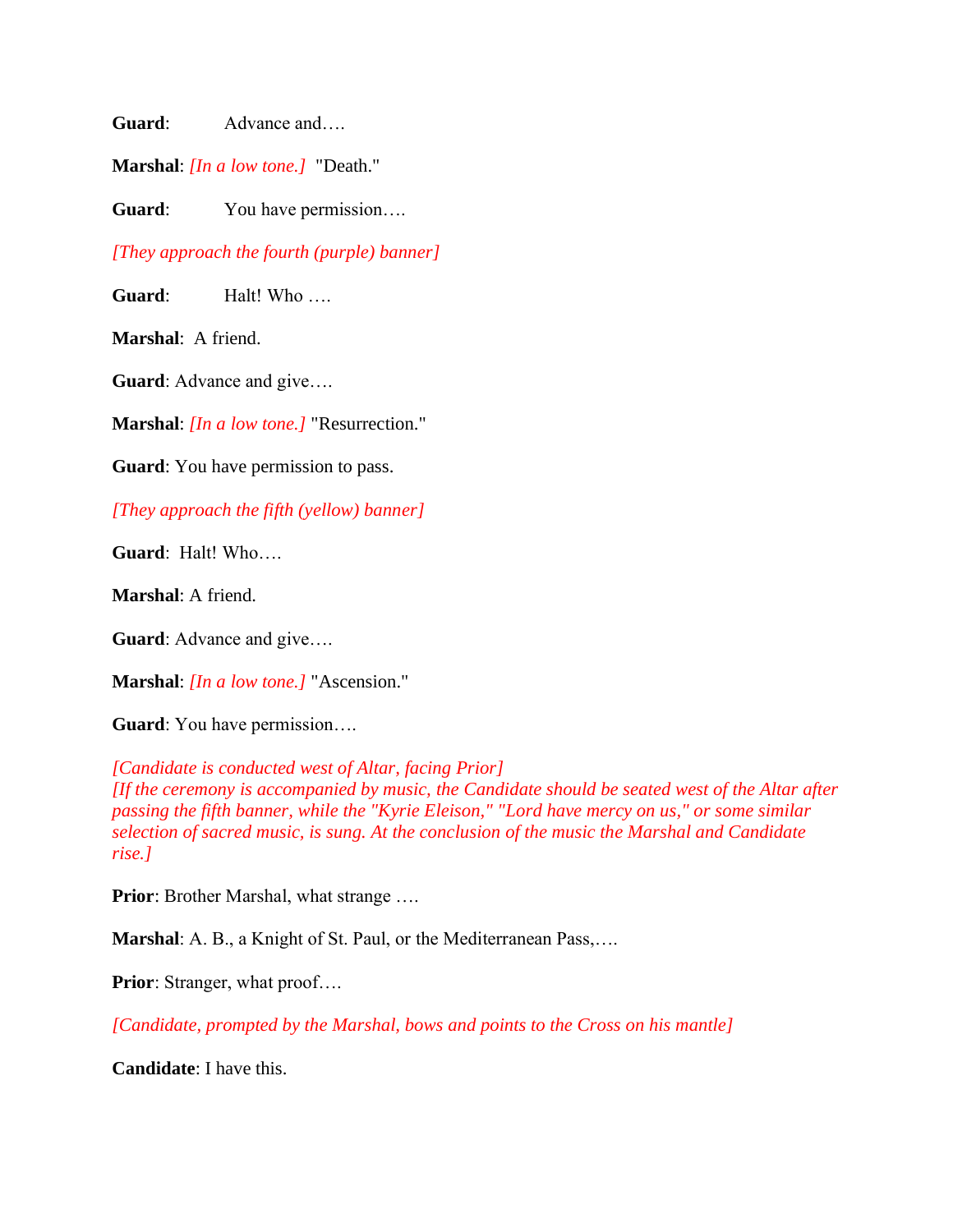**Guard**: Advance and….

**Marshal**: *[In a low tone.]* "Death."

**Guard**: You have permission….

*[They approach the fourth (purple) banner]*

**Guard**: Halt! Who ….

**Marshal**: A friend.

**Guard**: Advance and give….

**Marshal**: *[In a low tone.]* "Resurrection."

**Guard**: You have permission to pass.

*[They approach the fifth (yellow) banner]*

**Guard**: Halt! Who….

**Marshal**: A friend.

**Guard**: Advance and give….

**Marshal**: *[In a low tone.]* "Ascension."

**Guard**: You have permission….

*[Candidate is conducted west of Altar, facing Prior] [If the ceremony is accompanied by music, the Candidate should be seated west of the Altar after passing the fifth banner, while the "Kyrie Eleison," "Lord have mercy on us," or some similar selection of sacred music, is sung. At the conclusion of the music the Marshal and Candidate rise.]*

**Prior**: Brother Marshal, what strange ….

**Marshal**: A. B., a Knight of St. Paul, or the Mediterranean Pass,….

**Prior**: Stranger, what proof....

*[Candidate, prompted by the Marshal, bows and points to the Cross on his mantle]*

**Candidate**: I have this.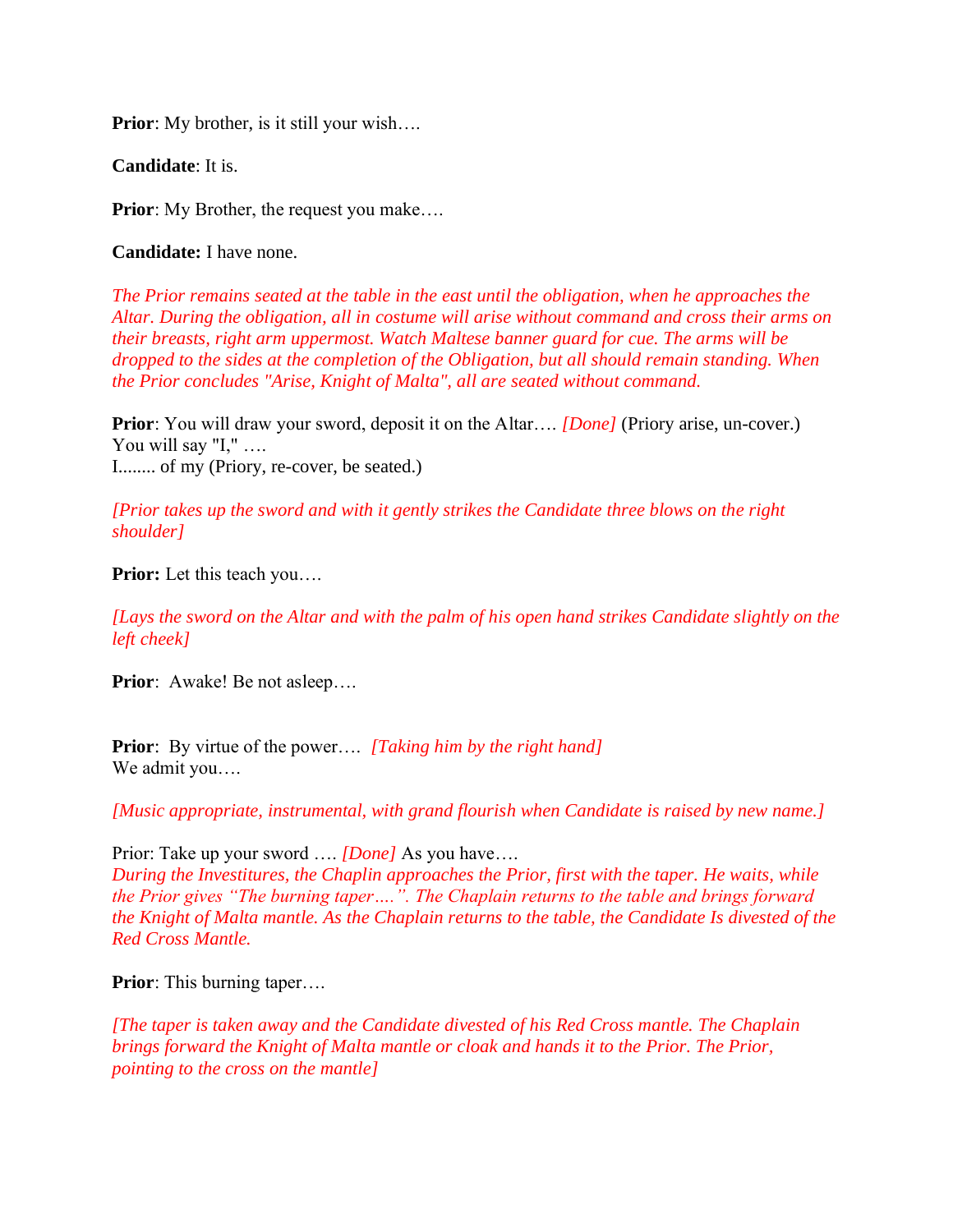**Prior**: My brother, is it still your wish....

**Candidate**: It is.

**Prior**: My Brother, the request you make....

**Candidate:** I have none.

*The Prior remains seated at the table in the east until the obligation, when he approaches the Altar. During the obligation, all in costume will arise without command and cross their arms on their breasts, right arm uppermost. Watch Maltese banner guard for cue. The arms will be dropped to the sides at the completion of the Obligation, but all should remain standing. When the Prior concludes "Arise, Knight of Malta", all are seated without command.*

**Prior**: You will draw your sword, deposit it on the Altar.... *[Done]* (Priory arise, un-cover.) You will say "I," .... I........ of my (Priory, re-cover, be seated.)

*[Prior takes up the sword and with it gently strikes the Candidate three blows on the right shoulder]*

**Prior:** Let this teach you….

*[Lays the sword on the Altar and with the palm of his open hand strikes Candidate slightly on the left cheek]*

**Prior**: Awake! Be not asleep....

**Prior**: By virtue of the power…. *[Taking him by the right hand]* We admit you….

*[Music appropriate, instrumental, with grand flourish when Candidate is raised by new name.]*

Prior: Take up your sword …. *[Done]* As you have…. *During the Investitures, the Chaplin approaches the Prior, first with the taper. He waits, while the Prior gives "The burning taper….". The Chaplain returns to the table and brings forward the Knight of Malta mantle. As the Chaplain returns to the table, the Candidate Is divested of the Red Cross Mantle.*

**Prior**: This burning taper....

*[The taper is taken away and the Candidate divested of his Red Cross mantle. The Chaplain brings forward the Knight of Malta mantle or cloak and hands it to the Prior. The Prior, pointing to the cross on the mantle]*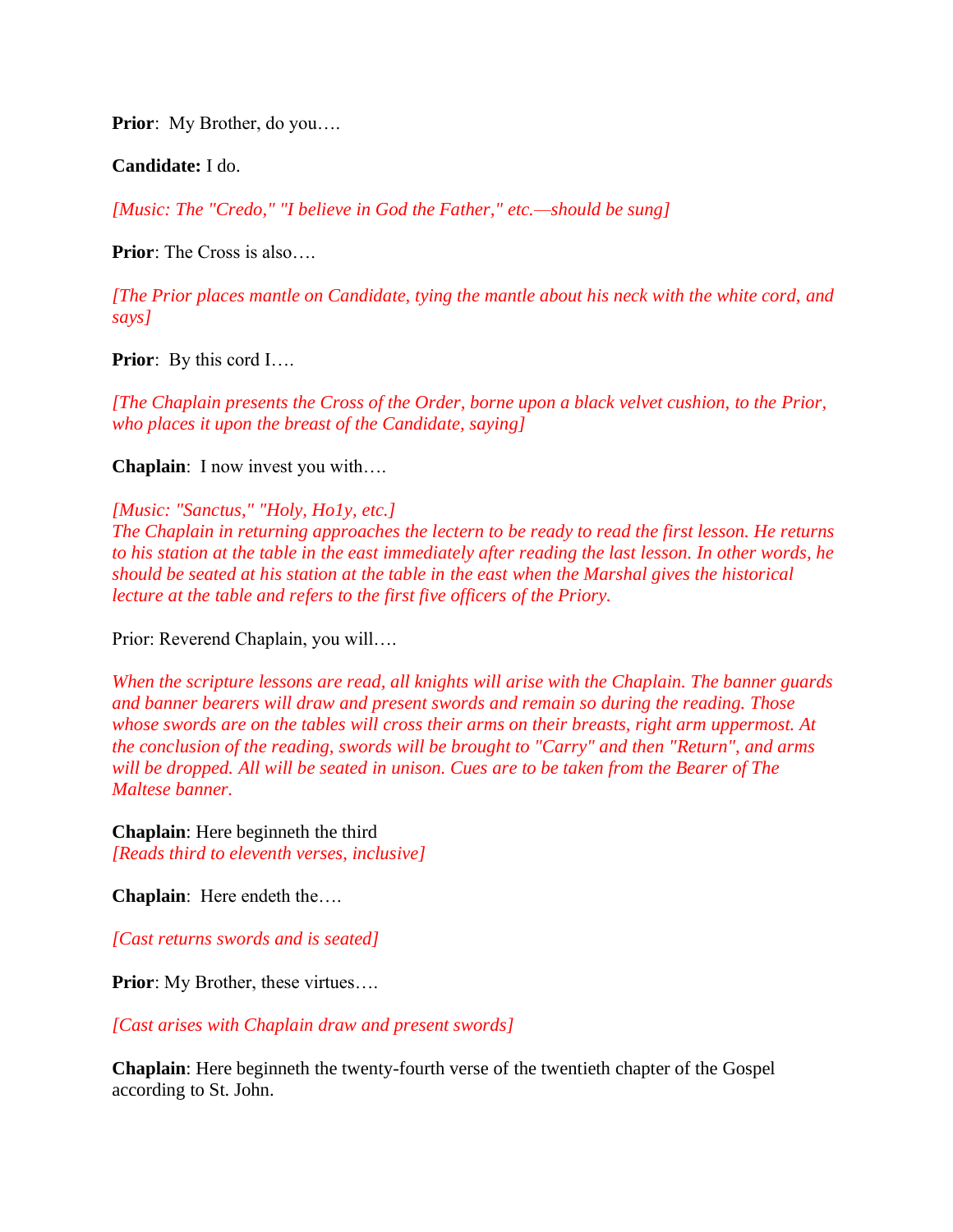**Prior**: My Brother, do you….

**Candidate:** I do.

*[Music: The "Credo," "I believe in God the Father," etc.—should be sung]*

**Prior**: The Cross is also….

*[The Prior places mantle on Candidate, tying the mantle about his neck with the white cord, and says]*

**Prior**: By this cord I....

*[The Chaplain presents the Cross of the Order, borne upon a black velvet cushion, to the Prior, who places it upon the breast of the Candidate, saying]*

**Chaplain**: I now invest you with….

*[Music: "Sanctus," "Holy, Ho1y, etc.] The Chaplain in returning approaches the lectern to be ready to read the first lesson. He returns to his station at the table in the east immediately after reading the last lesson. In other words, he should be seated at his station at the table in the east when the Marshal gives the historical lecture at the table and refers to the first five officers of the Priory.*

Prior: Reverend Chaplain, you will….

*When the scripture lessons are read, all knights will arise with the Chaplain. The banner guards and banner bearers will draw and present swords and remain so during the reading. Those whose swords are on the tables will cross their arms on their breasts, right arm uppermost. At the conclusion of the reading, swords will be brought to "Carry" and then "Return", and arms will be dropped. All will be seated in unison. Cues are to be taken from the Bearer of The Maltese banner.*

**Chaplain**: Here beginneth the third *[Reads third to eleventh verses, inclusive]*

**Chaplain**: Here endeth the….

*[Cast returns swords and is seated]*

**Prior**: My Brother, these virtues....

*[Cast arises with Chaplain draw and present swords]*

**Chaplain**: Here beginneth the twenty-fourth verse of the twentieth chapter of the Gospel according to St. John.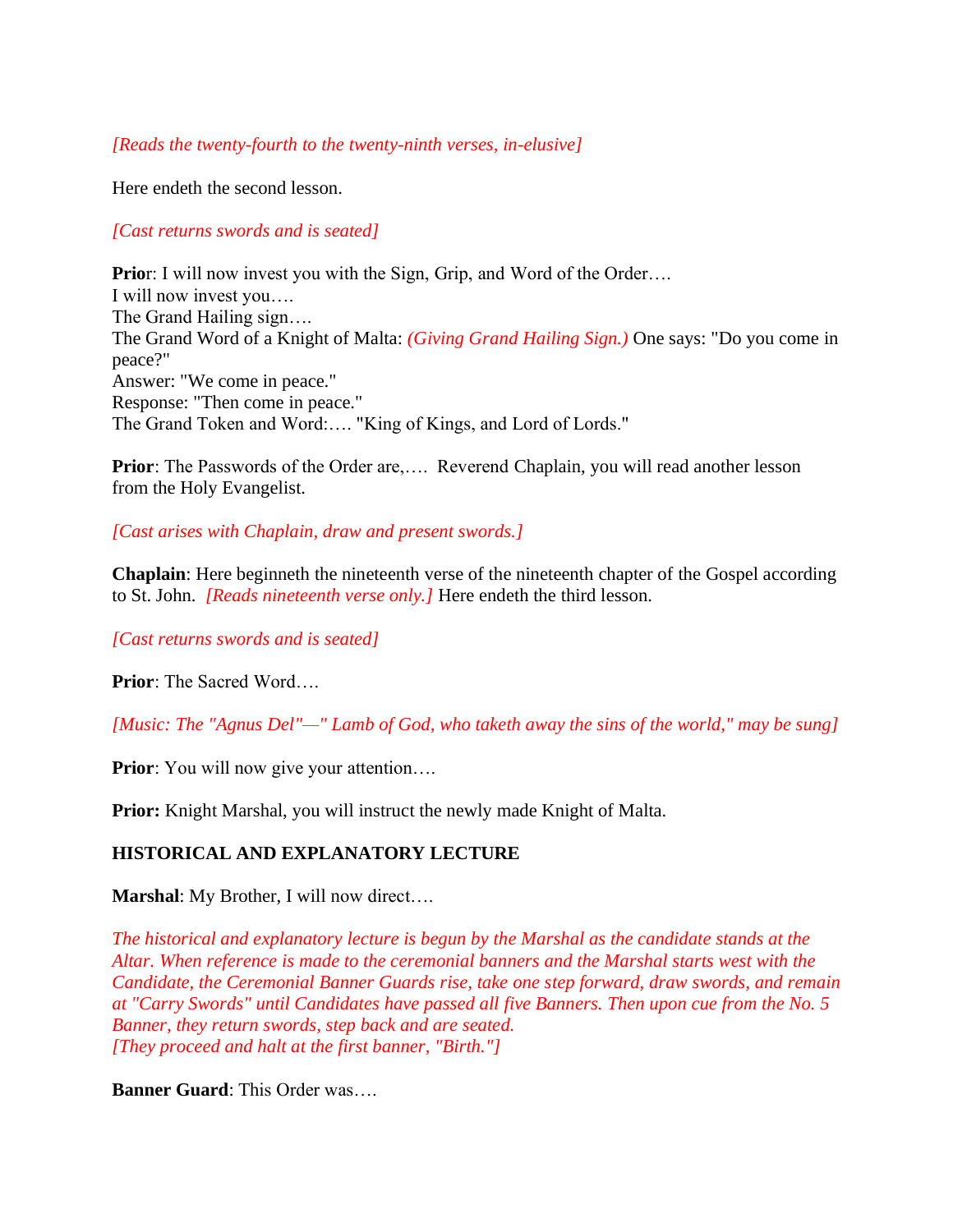## *[Reads the twenty-fourth to the twenty-ninth verses, in-elusive]*

Here endeth the second lesson.

## *[Cast returns swords and is seated]*

**Prior**: I will now invest you with the Sign, Grip, and Word of the Order.... I will now invest you…. The Grand Hailing sign…. The Grand Word of a Knight of Malta: *(Giving Grand Hailing Sign.)* One says: "Do you come in peace?" Answer: "We come in peace." Response: "Then come in peace." The Grand Token and Word:…. "King of Kings, and Lord of Lords."

**Prior**: The Passwords of the Order are,.... Reverend Chaplain, you will read another lesson from the Holy Evangelist.

## *[Cast arises with Chaplain, draw and present swords.]*

**Chaplain:** Here beginneth the nineteenth verse of the nineteenth chapter of the Gospel according to St. John. *[Reads nineteenth verse only.]* Here endeth the third lesson.

*[Cast returns swords and is seated]*

**Prior**: The Sacred Word….

*[Music: The "Agnus Del"—" Lamb of God, who taketh away the sins of the world," may be sung]*

**Prior**: You will now give your attention....

**Prior:** Knight Marshal, you will instruct the newly made Knight of Malta.

## **HISTORICAL AND EXPLANATORY LECTURE**

**Marshal**: My Brother, I will now direct….

*The historical and explanatory lecture is begun by the Marshal as the candidate stands at the Altar. When reference is made to the ceremonial banners and the Marshal starts west with the Candidate, the Ceremonial Banner Guards rise, take one step forward, draw swords, and remain at "Carry Swords" until Candidates have passed all five Banners. Then upon cue from the No. 5 Banner, they return swords, step back and are seated. [They proceed and halt at the first banner, "Birth."]*

**Banner Guard**: This Order was….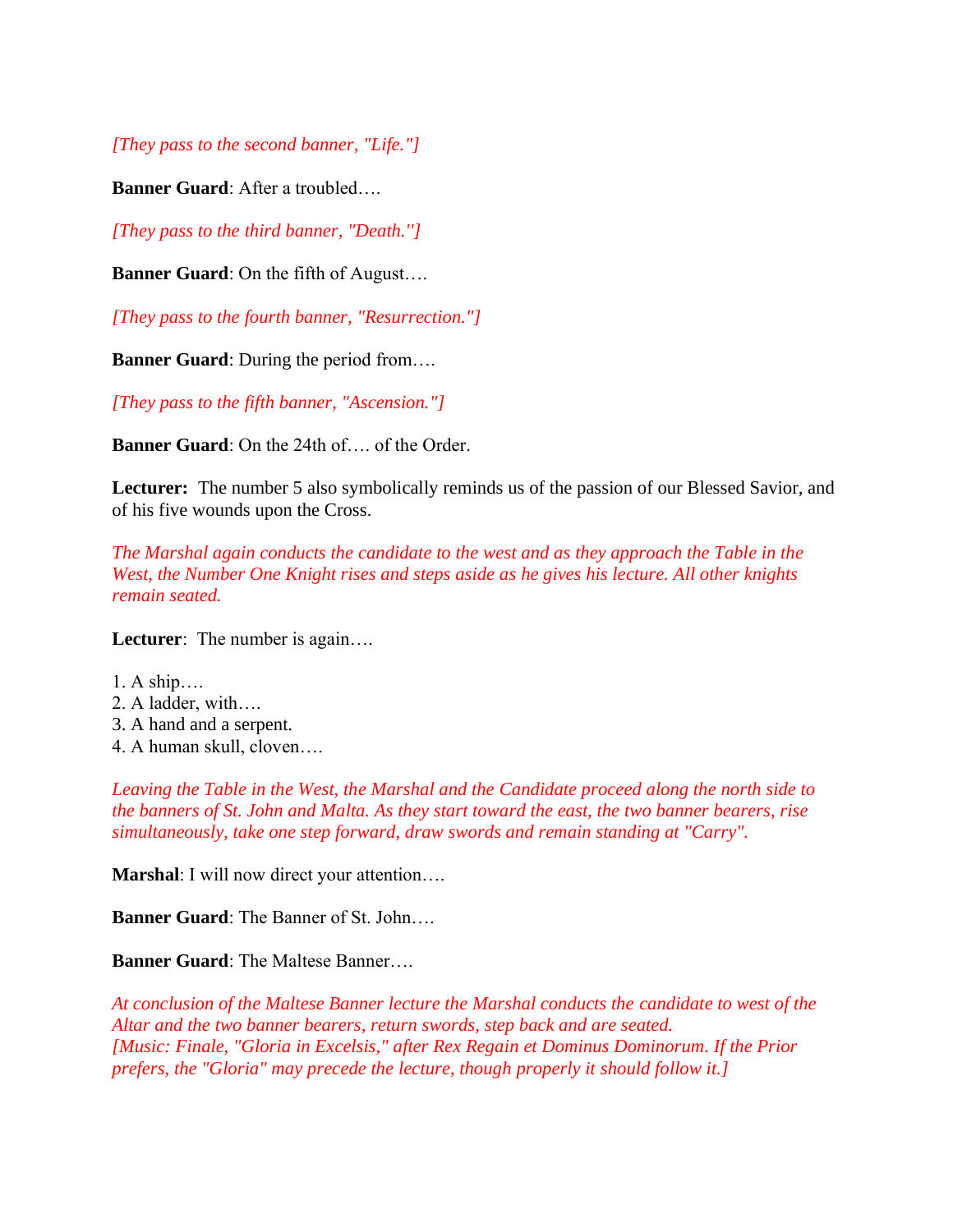*[They pass to the second banner, "Life."]*

**Banner Guard**: After a troubled….

*[They pass to the third banner, "Death.'']*

**Banner Guard**: On the fifth of August….

*[They pass to the fourth banner, "Resurrection."]*

**Banner Guard:** During the period from....

*[They pass to the fifth banner, "Ascension."]*

**Banner Guard**: On the 24th of…. of the Order.

**Lecturer:** The number 5 also symbolically reminds us of the passion of our Blessed Savior, and of his five wounds upon the Cross.

*The Marshal again conducts the candidate to the west and as they approach the Table in the West, the Number One Knight rises and steps aside as he gives his lecture. All other knights remain seated.*

**Lecturer**: The number is again….

- 1. A ship….
- 2. A ladder, with….
- 3. A hand and a serpent.
- 4. A human skull, cloven….

*Leaving the Table in the West, the Marshal and the Candidate proceed along the north side to the banners of St. John and Malta. As they start toward the east, the two banner bearers, rise simultaneously, take one step forward, draw swords and remain standing at "Carry".*

**Marshal**: I will now direct your attention….

**Banner Guard**: The Banner of St. John….

**Banner Guard**: The Maltese Banner….

*At conclusion of the Maltese Banner lecture the Marshal conducts the candidate to west of the Altar and the two banner bearers, return swords, step back and are seated. [Music: Finale, "Gloria in Excelsis," after Rex Regain et Dominus Dominorum. If the Prior prefers, the "Gloria" may precede the lecture, though properly it should follow it.]*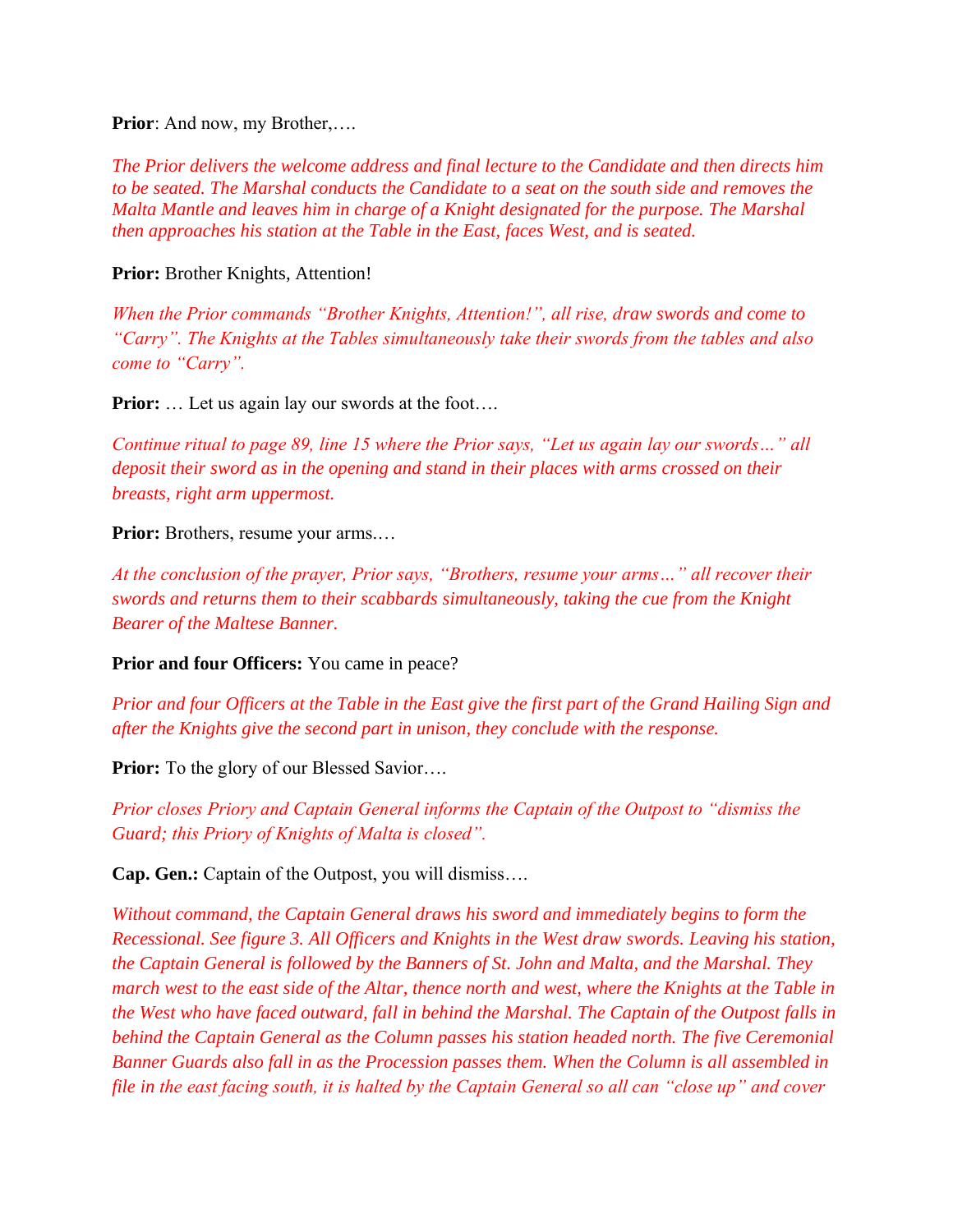**Prior**: And now, my Brother,....

*The Prior delivers the welcome address and final lecture to the Candidate and then directs him to be seated. The Marshal conducts the Candidate to a seat on the south side and removes the Malta Mantle and leaves him in charge of a Knight designated for the purpose. The Marshal then approaches his station at the Table in the East, faces West, and is seated.*

**Prior:** Brother Knights, Attention!

*When the Prior commands "Brother Knights, Attention!", all rise, draw swords and come to "Carry". The Knights at the Tables simultaneously take their swords from the tables and also come to "Carry".*

**Prior:** ... Let us again lay our swords at the foot....

*Continue ritual to page 89, line 15 where the Prior says, "Let us again lay our swords…" all deposit their sword as in the opening and stand in their places with arms crossed on their breasts, right arm uppermost.*

**Prior:** Brothers, resume your arms....

*At the conclusion of the prayer, Prior says, "Brothers, resume your arms…" all recover their swords and returns them to their scabbards simultaneously, taking the cue from the Knight Bearer of the Maltese Banner.*

**Prior and four Officers:** You came in peace?

*Prior and four Officers at the Table in the East give the first part of the Grand Hailing Sign and after the Knights give the second part in unison, they conclude with the response.*

**Prior:** To the glory of our Blessed Savior....

*Prior closes Priory and Captain General informs the Captain of the Outpost to "dismiss the Guard; this Priory of Knights of Malta is closed".*

**Cap. Gen.:** Captain of the Outpost, you will dismiss….

*Without command, the Captain General draws his sword and immediately begins to form the Recessional. See figure 3. All Officers and Knights in the West draw swords. Leaving his station, the Captain General is followed by the Banners of St. John and Malta, and the Marshal. They march west to the east side of the Altar, thence north and west, where the Knights at the Table in the West who have faced outward, fall in behind the Marshal. The Captain of the Outpost falls in behind the Captain General as the Column passes his station headed north. The five Ceremonial Banner Guards also fall in as the Procession passes them. When the Column is all assembled in file in the east facing south, it is halted by the Captain General so all can "close up" and cover*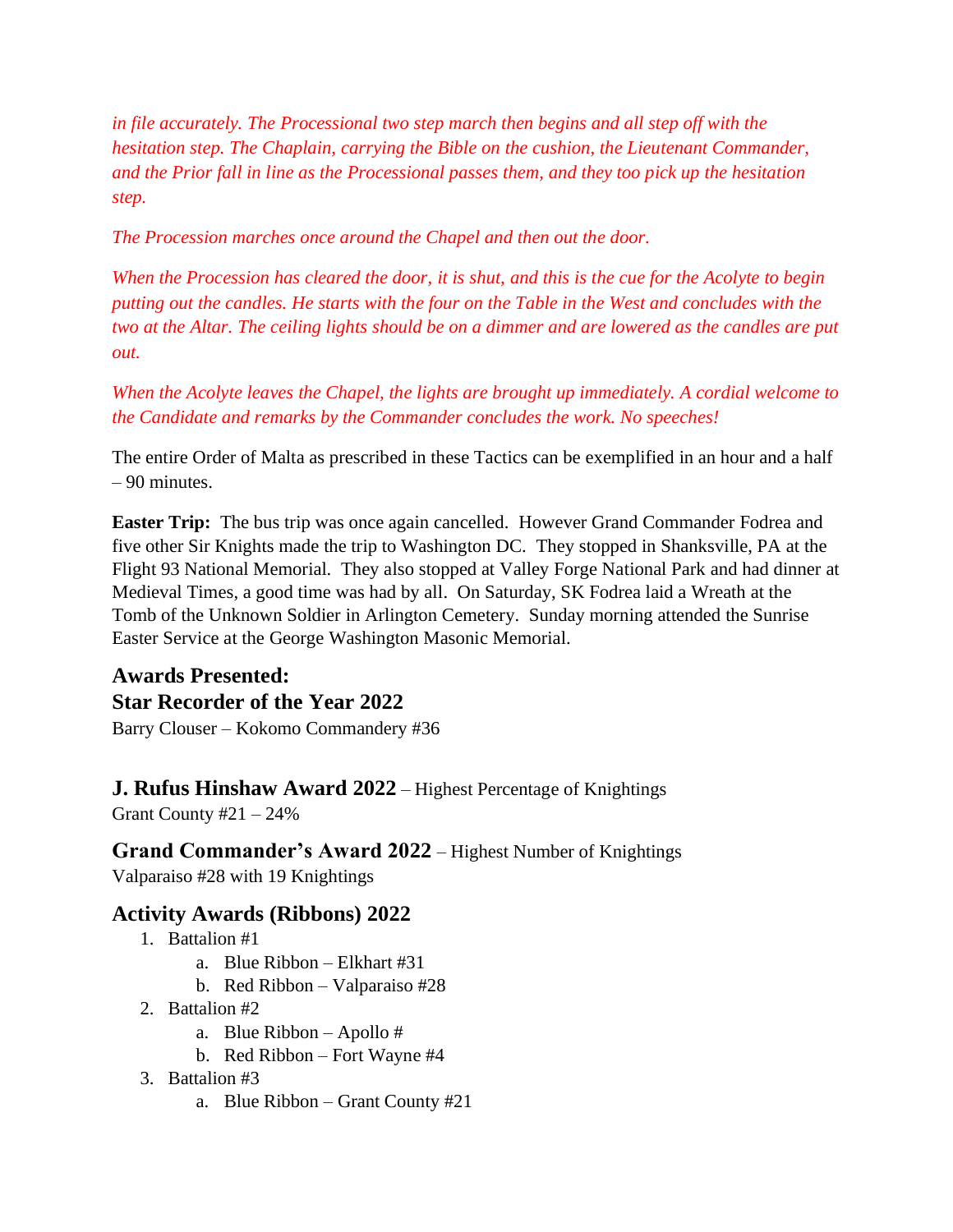*in file accurately. The Processional two step march then begins and all step off with the hesitation step. The Chaplain, carrying the Bible on the cushion, the Lieutenant Commander, and the Prior fall in line as the Processional passes them, and they too pick up the hesitation step.*

*The Procession marches once around the Chapel and then out the door.*

*When the Procession has cleared the door, it is shut, and this is the cue for the Acolyte to begin putting out the candles. He starts with the four on the Table in the West and concludes with the two at the Altar. The ceiling lights should be on a dimmer and are lowered as the candles are put out.*

*When the Acolyte leaves the Chapel, the lights are brought up immediately. A cordial welcome to the Candidate and remarks by the Commander concludes the work. No speeches!*

The entire Order of Malta as prescribed in these Tactics can be exemplified in an hour and a half – 90 minutes.

**Easter Trip:** The bus trip was once again cancelled. However Grand Commander Fodrea and five other Sir Knights made the trip to Washington DC. They stopped in Shanksville, PA at the Flight 93 National Memorial. They also stopped at Valley Forge National Park and had dinner at Medieval Times, a good time was had by all. On Saturday, SK Fodrea laid a Wreath at the Tomb of the Unknown Soldier in Arlington Cemetery. Sunday morning attended the Sunrise Easter Service at the George Washington Masonic Memorial.

# **Awards Presented: Star Recorder of the Year 2022**

Barry Clouser – Kokomo Commandery #36

**J. Rufus Hinshaw Award 2022** – Highest Percentage of Knightings

Grant County  $#21 - 24\%$ 

**Grand Commander's Award 2022** – Highest Number of Knightings Valparaiso #28 with 19 Knightings

# **Activity Awards (Ribbons) 2022**

- 1. Battalion #1
	- a. Blue Ribbon Elkhart #31
	- b. Red Ribbon Valparaiso #28
- 2. Battalion #2
	- a. Blue Ribbon Apollo #
	- b. Red Ribbon Fort Wayne #4
- 3. Battalion #3
	- a. Blue Ribbon Grant County #21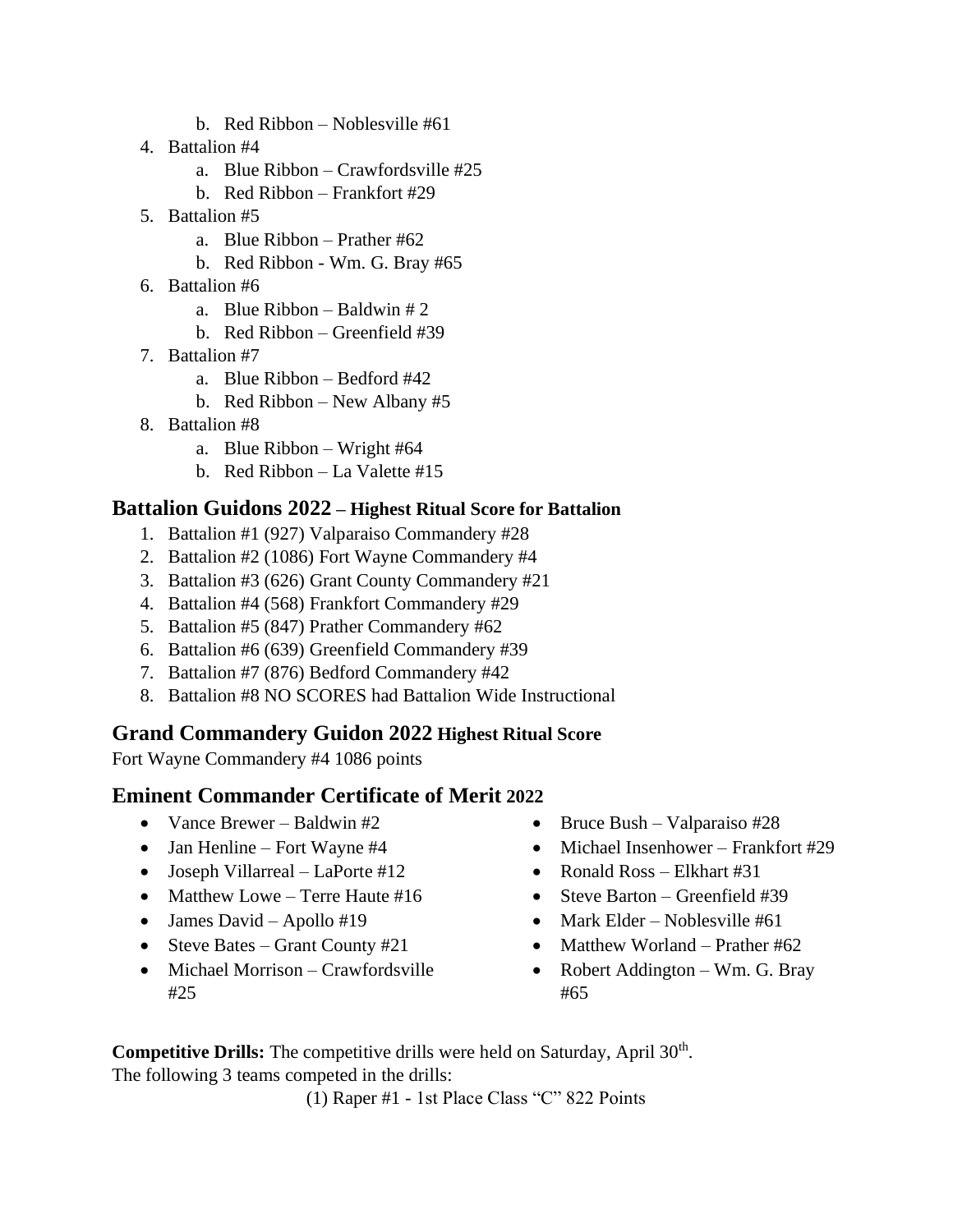- b. Red Ribbon Noblesville #61
- 4. Battalion #4
	- a. Blue Ribbon Crawfordsville #25
	- b. Red Ribbon Frankfort #29
- 5. Battalion #5
	- a. Blue Ribbon Prather #62
	- b. Red Ribbon Wm. G. Bray #65
- 6. Battalion #6
	- a. Blue Ribbon Baldwin  $# 2$
	- b. Red Ribbon Greenfield #39
- 7. Battalion #7
	- a. Blue Ribbon Bedford #42
	- b. Red Ribbon New Albany #5
- 8. Battalion #8
	- a. Blue Ribbon Wright #64
	- b. Red Ribbon La Valette #15

## **Battalion Guidons 2022 – Highest Ritual Score for Battalion**

- 1. Battalion #1 (927) Valparaiso Commandery #28
- 2. Battalion #2 (1086) Fort Wayne Commandery #4
- 3. Battalion #3 (626) Grant County Commandery #21
- 4. Battalion #4 (568) Frankfort Commandery #29
- 5. Battalion #5 (847) Prather Commandery #62
- 6. Battalion #6 (639) Greenfield Commandery #39
- 7. Battalion #7 (876) Bedford Commandery #42
- 8. Battalion #8 NO SCORES had Battalion Wide Instructional

## **Grand Commandery Guidon 2022 Highest Ritual Score**

Fort Wayne Commandery #4 1086 points

## **Eminent Commander Certificate of Merit 2022**

- Vance Brewer Baldwin #2
- Jan Henline Fort Wayne #4
- Joseph Villarreal LaPorte #12
- Matthew Lowe Terre Haute #16
- James David Apollo #19
- Steve Bates Grant County #21
- Michael Morrison Crawfordsville #25
- Bruce Bush Valparaiso #28
- Michael Insenhower Frankfort #29
- Ronald Ross Elkhart #31
- Steve Barton Greenfield #39
- Mark Elder Noblesville #61
- Matthew Worland Prather #62
- Robert Addington Wm. G. Bray #65

Competitive Drills: The competitive drills were held on Saturday, April 30<sup>th</sup>. The following 3 teams competed in the drills:

(1) Raper #1 - 1st Place Class "C" 822 Points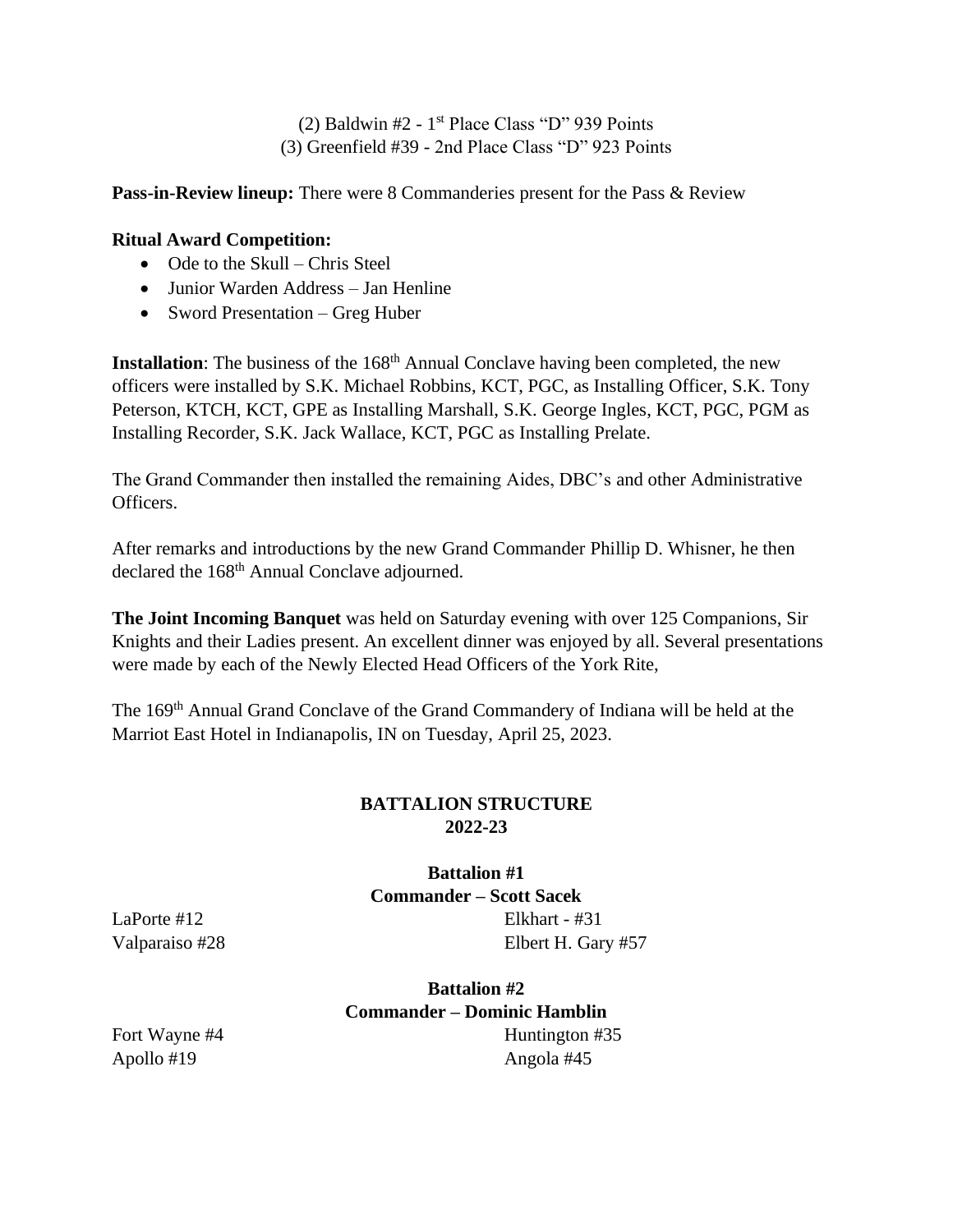$(2)$  Baldwin #2 - 1<sup>st</sup> Place Class "D" 939 Points (3) Greenfield #39 - 2nd Place Class "D" 923 Points

**Pass-in-Review lineup:** There were 8 Commanderies present for the Pass & Review

## **Ritual Award Competition:**

- Ode to the Skull Chris Steel
- Junior Warden Address Jan Henline
- Sword Presentation Greg Huber

**Installation**: The business of the 168<sup>th</sup> Annual Conclave having been completed, the new officers were installed by S.K. Michael Robbins, KCT, PGC, as Installing Officer, S.K. Tony Peterson, KTCH, KCT, GPE as Installing Marshall, S.K. George Ingles, KCT, PGC, PGM as Installing Recorder, S.K. Jack Wallace, KCT, PGC as Installing Prelate.

The Grand Commander then installed the remaining Aides, DBC's and other Administrative Officers.

After remarks and introductions by the new Grand Commander Phillip D. Whisner, he then declared the 168<sup>th</sup> Annual Conclave adjourned.

**The Joint Incoming Banquet** was held on Saturday evening with over 125 Companions, Sir Knights and their Ladies present. An excellent dinner was enjoyed by all. Several presentations were made by each of the Newly Elected Head Officers of the York Rite,

The 169<sup>th</sup> Annual Grand Conclave of the Grand Commandery of Indiana will be held at the Marriot East Hotel in Indianapolis, IN on Tuesday, April 25, 2023.

# **BATTALION STRUCTURE 2022-23**

**Battalion #1 Commander – Scott Sacek** Elkhart - #31 Elbert H. Gary #57

LaPorte #12 Valparaiso #28

> **Battalion #2 Commander – Dominic Hamblin** Huntington #35 Angola #45

Fort Wayne #4 Apollo #19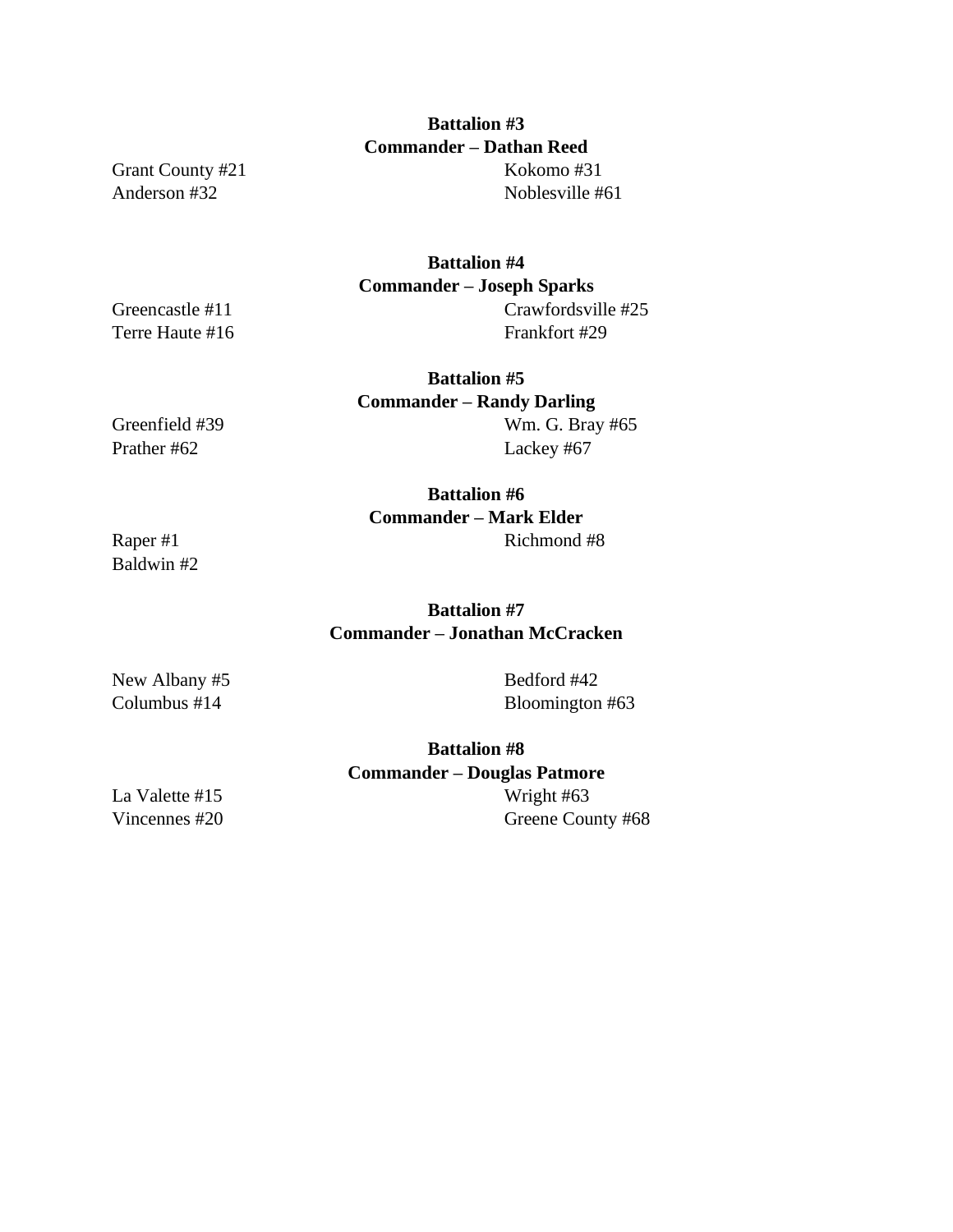# **Battalion #3 Commander – Dathan Reed**

Grant County #21 Anderson #32

Kokomo #31 Noblesville #61

## **Battalion #4 Commander – Joseph Sparks** Crawfordsville #25 Frankfort #29

**Battalion #5 Commander – Randy Darling**  Wm. G. Bray #65 Lackey #67

Greenfield #39 Prather #62

Greencastle #11 Terre Haute #16

> **Battalion #6 Commander – Mark Elder** Richmond #8

Raper #1 Baldwin #2

# **Battalion #7 Commander – Jonathan McCracken**

New Albany #5 Columbus #14

Bedford #42 Bloomington #63

**Battalion #8 Commander – Douglas Patmore** Wright #63 Greene County #68

La Valette #15 Vincennes #20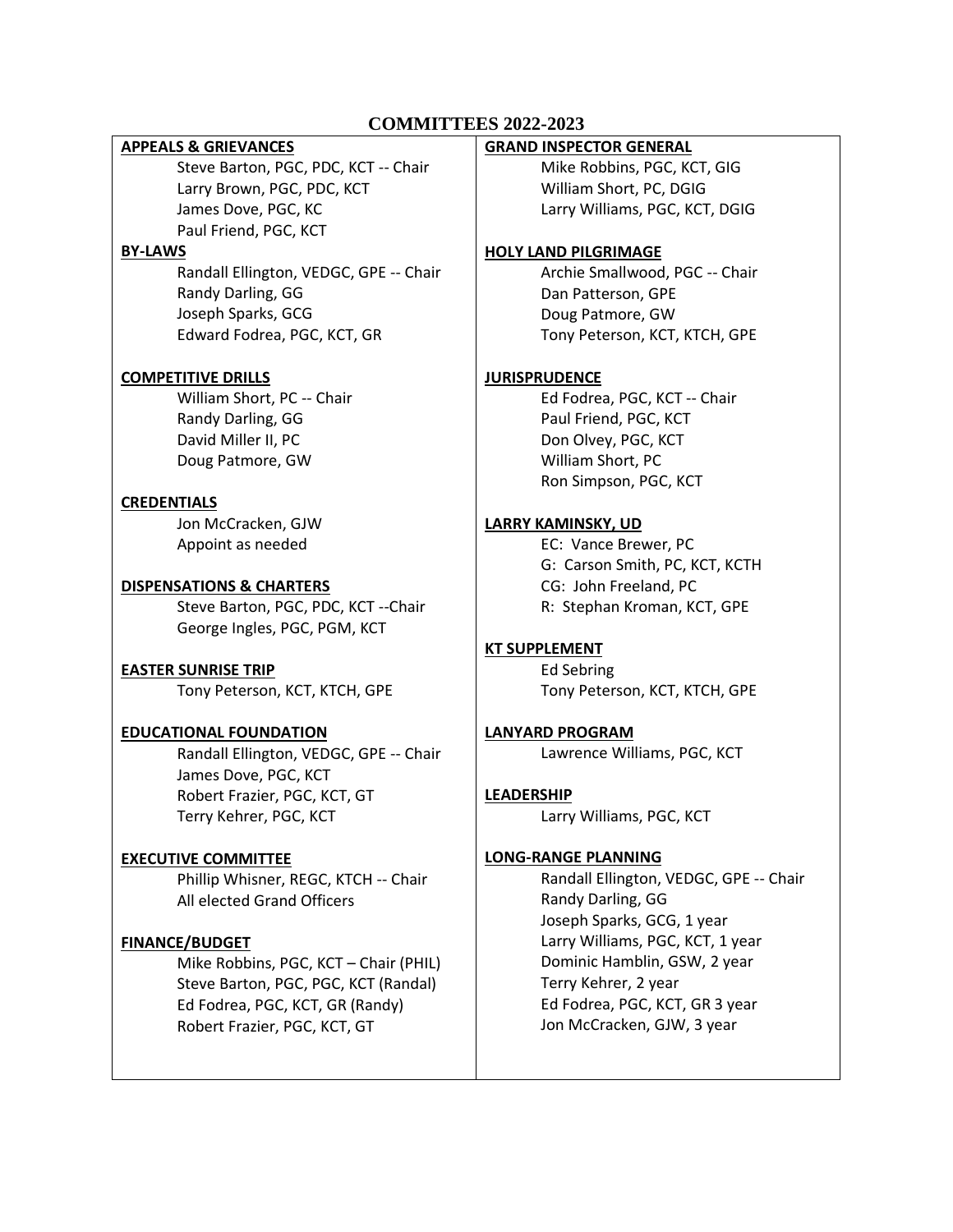## **COMMITTEES 2022-2023**

#### **APPEALS & GRIEVANCES**

Steve Barton, PGC, PDC, KCT -- Chair Larry Brown, PGC, PDC, KCT James Dove, PGC, KC Paul Friend, PGC, KCT

#### **BY-LAWS**

Randall Ellington, VEDGC, GPE -- Chair Randy Darling, GG Joseph Sparks, GCG Edward Fodrea, PGC, KCT, GR

## **COMPETITIVE DRILLS**

William Short, PC -- Chair Randy Darling, GG David Miller II, PC Doug Patmore, GW

## **CREDENTIALS**

Jon McCracken, GJW Appoint as needed

#### **DISPENSATIONS & CHARTERS**

Steve Barton, PGC, PDC, KCT --Chair George Ingles, PGC, PGM, KCT

#### **EASTER SUNRISE TRIP** Tony Peterson, KCT, KTCH, GPE

#### **EDUCATIONAL FOUNDATION**

Randall Ellington, VEDGC, GPE -- Chair James Dove, PGC, KCT Robert Frazier, PGC, KCT, GT Terry Kehrer, PGC, KCT

## **EXECUTIVE COMMITTEE**

Phillip Whisner, REGC, KTCH -- Chair All elected Grand Officers

## **FINANCE/BUDGET**

Mike Robbins, PGC, KCT – Chair (PHIL) Steve Barton, PGC, PGC, KCT (Randal) Ed Fodrea, PGC, KCT, GR (Randy) Robert Frazier, PGC, KCT, GT

#### **GRAND INSPECTOR GENERAL**

Mike Robbins, PGC, KCT, GIG William Short, PC, DGIG Larry Williams, PGC, KCT, DGIG

#### **HOLY LAND PILGRIMAGE**

Archie Smallwood, PGC -- Chair Dan Patterson, GPE Doug Patmore, GW Tony Peterson, KCT, KTCH, GPE

#### **JURISPRUDENCE**

Ed Fodrea, PGC, KCT -- Chair Paul Friend, PGC, KCT Don Olvey, PGC, KCT William Short, PC Ron Simpson, PGC, KCT

## **LARRY KAMINSKY, UD**

EC: Vance Brewer, PC G: Carson Smith, PC, KCT, KCTH CG: John Freeland, PC R: Stephan Kroman, KCT, GPE

## **KT SUPPLEMENT**

Ed Sebring Tony Peterson, KCT, KTCH, GPE

# **LANYARD PROGRAM**

Lawrence Williams, PGC, KCT

## **LEADERSHIP**

Larry Williams, PGC, KCT

## **LONG-RANGE PLANNING**

Randall Ellington, VEDGC, GPE -- Chair Randy Darling, GG Joseph Sparks, GCG, 1 year Larry Williams, PGC, KCT, 1 year Dominic Hamblin, GSW, 2 year Terry Kehrer, 2 year Ed Fodrea, PGC, KCT, GR 3 year Jon McCracken, GJW, 3 year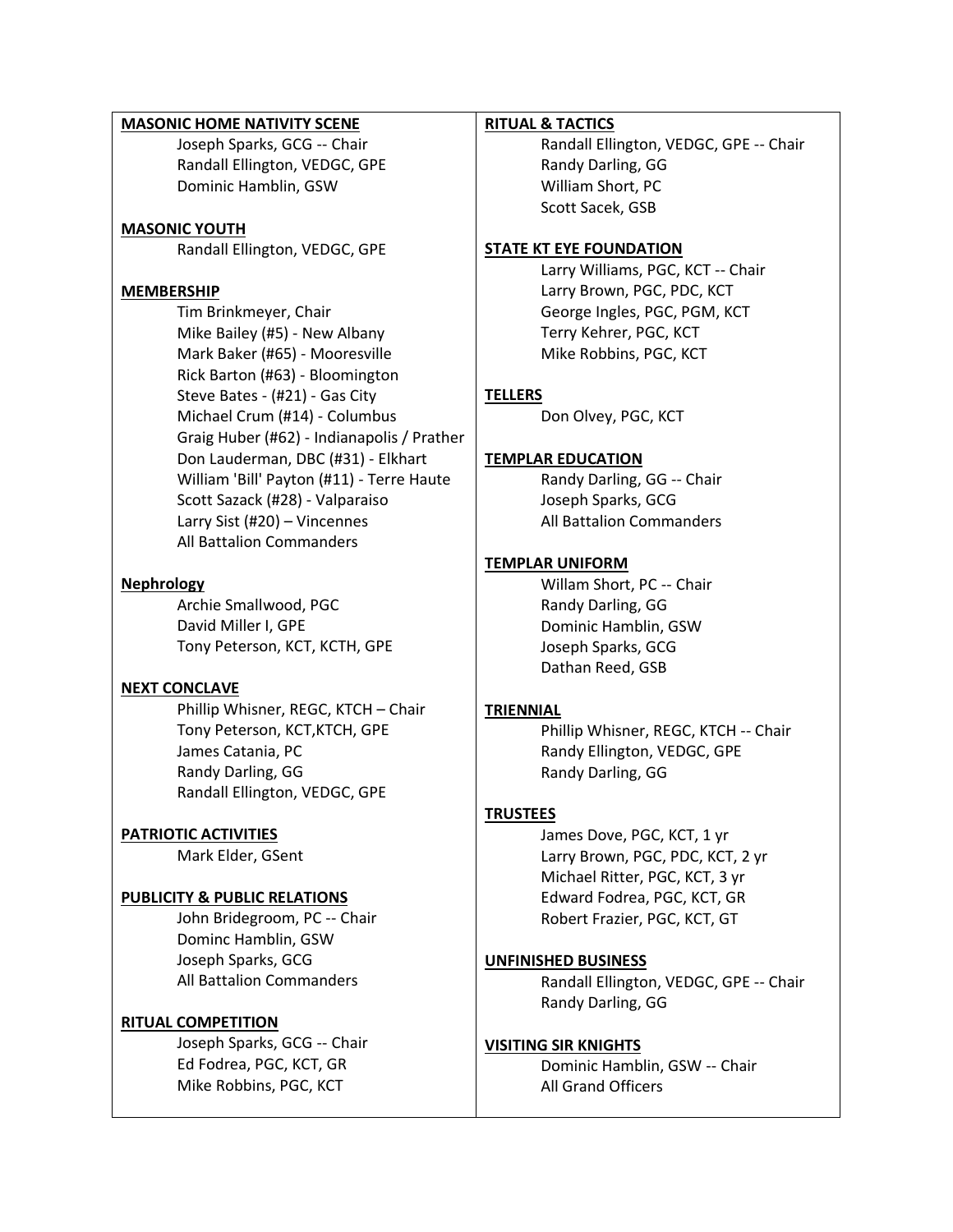# **MASONIC HOME NATIVITY SCENE**

Joseph Sparks, GCG -- Chair Randall Ellington, VEDGC, GPE Dominic Hamblin, GSW

## **MASONIC YOUTH**

Randall Ellington, VEDGC, GPE

#### **MEMBERSHIP**

Tim Brinkmeyer, Chair Mike Bailey (#5) - New Albany Mark Baker (#65) - Mooresville Rick Barton (#63) - Bloomington Steve Bates - (#21) - Gas City Michael Crum (#14) - Columbus Graig Huber (#62) - Indianapolis / Prather Don Lauderman, DBC (#31) - Elkhart William 'Bill' Payton (#11) - Terre Haute Scott Sazack (#28) - Valparaiso Larry Sist (#20) – Vincennes All Battalion Commanders

#### **Nephrology**

Archie Smallwood, PGC David Miller I, GPE Tony Peterson, KCT, KCTH, GPE

## **NEXT CONCLAVE**

Phillip Whisner, REGC, KTCH – Chair Tony Peterson, KCT,KTCH, GPE James Catania, PC Randy Darling, GG Randall Ellington, VEDGC, GPE

## **PATRIOTIC ACTIVITIES**

Mark Elder, GSent

## **PUBLICITY & PUBLIC RELATIONS**

John Bridegroom, PC -- Chair Dominc Hamblin, GSW Joseph Sparks, GCG All Battalion Commanders

## **RITUAL COMPETITION**

Joseph Sparks, GCG -- Chair Ed Fodrea, PGC, KCT, GR Mike Robbins, PGC, KCT

#### **RITUAL & TACTICS**

Randall Ellington, VEDGC, GPE -- Chair Randy Darling, GG William Short, PC Scott Sacek, GSB

#### **STATE KT EYE FOUNDATION**

Larry Williams, PGC, KCT -- Chair Larry Brown, PGC, PDC, KCT George Ingles, PGC, PGM, KCT Terry Kehrer, PGC, KCT Mike Robbins, PGC, KCT

#### **TELLERS**

Don Olvey, PGC, KCT

#### **TEMPLAR EDUCATION**

Randy Darling, GG -- Chair Joseph Sparks, GCG All Battalion Commanders

#### **TEMPLAR UNIFORM**

Willam Short, PC -- Chair Randy Darling, GG Dominic Hamblin, GSW Joseph Sparks, GCG Dathan Reed, GSB

## **TRIENNIAL**

Phillip Whisner, REGC, KTCH -- Chair Randy Ellington, VEDGC, GPE Randy Darling, GG

## **TRUSTEES**

James Dove, PGC, KCT, 1 yr Larry Brown, PGC, PDC, KCT, 2 yr Michael Ritter, PGC, KCT, 3 yr Edward Fodrea, PGC, KCT, GR Robert Frazier, PGC, KCT, GT

#### **UNFINISHED BUSINESS**

Randall Ellington, VEDGC, GPE -- Chair Randy Darling, GG

#### **VISITING SIR KNIGHTS**

Dominic Hamblin, GSW -- Chair All Grand Officers